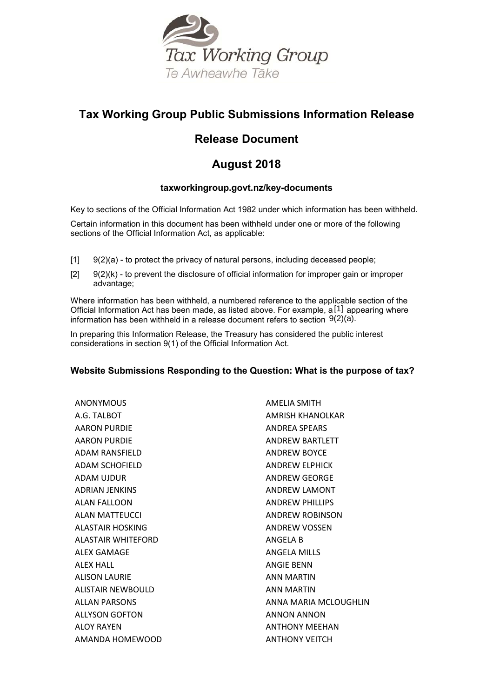

# **Tax Working Group Public Submissions Information Release**

# **Release Document**

# **August 2018**

# **taxworkingroup.govt.nz/key-documents**

Key to sections of the Official Information Act 1982 under which information has been withheld.

Certain information in this document has been withheld under one or more of the following sections of the Official Information Act, as applicable:

- $[1]$   $[9(2)(a)$  to protect the privacy of natural persons, including deceased people;
- $[2]$  9(2)(k) to prevent the disclosure of official information for improper gain or improper advantage;

Where information has been withheld, a numbered reference to the applicable section of the Official Information Act has been made, as listed above. For example, a<sup>[1]</sup> appearing where information has been withheld in a release document refers to section  $9(2)(a)$ .

In preparing this Information Release, the Treasury has considered the public interest considerations in section 9(1) of the Official Information Act.

# **Website Submissions Responding to the Question: What is the purpose of tax?**

ANONYMOUS A.G. TALBOT AARON PURDIE AARON PURDIE ADAM RANSFIELD ADAM SCHOFIELD ADAM UJDUR ADRIAN JENKINS ALAN FALLOON ALAN MATTEUCCI ALASTAIR HOSKING ALASTAIR WHITEFORD ALEX GAMAGE ALEX HALL ALISON LAURIE ALISTAIR NEWBOULD ALLAN PARSONS ALLYSON GOFTON ALOY RAYEN AMANDA HOMEWOOD AMELIA SMITH AMRISH KHANOLKAR ANDREA SPEARS ANDREW BARTLETT ANDREW BOYCE ANDREW ELPHICK ANDREW GEORGE ANDREW LAMONT ANDREW PHILLIPS ANDREW ROBINSON ANDREW VOSSEN ANGELA B ANGELA MILLS ANGIE BENN ANN MARTIN ANN MARTIN ANNA MARIA MCLOUGHLIN ANNON ANNON ANTHONY MEEHAN ANTHONY VEITCH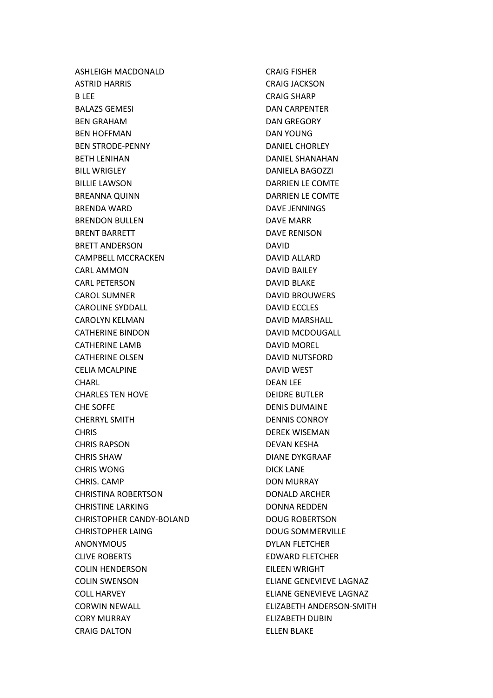ASHLEIGH MACDONALD ASTRID HARRIS B LEE BALAZS GEMESI BEN GRAHAM BEN HOFFMAN BEN STRODE-PENNY BETH LENIHAN BILL WRIGLEY BILLIE LAWSON BREANNA QUINN BRENDA WARD BRENDON BULLEN BRENT BARRETT BRETT ANDERSON CAMPBELL MCCRACKEN CARL AMMON CARL PETERSON CAROL SUMNER CAROLINE SYDDALL CAROLYN KELMAN CATHERINE BINDON CATHERINE LAMB CATHERINE OLSEN CELIA MCALPINE **CHARL** CHARLES TEN HOVE CHE SOFFE CHERRYL SMITH CHRIS CHRIS RAPSON CHRIS SHAW CHRIS WONG CHRIS. CAMP CHRISTINA ROBERTSON CHRISTINE LARKING CHRISTOPHER CANDY-BOLAND CHRISTOPHER LAING ANONYMOUS CLIVE ROBERTS COLIN HENDERSON COLIN SWENSON COLL HARVEY CORWIN NEWALL CORY MURRAY CRAIG DALTON

CRAIG FISHER CRAIG JACKSON CRAIG SHARP DAN CARPENTER DAN GREGORY DAN YOUNG DANIEL CHORLEY DANIEL SHANAHAN DANIELA BAGOZZI DARRIEN LE COMTE DARRIEN LE COMTE DAVE JENNINGS DAVE MARR DAVE RENISON DAVID DAVID ALLARD DAVID BAILEY DAVID BLAKE DAVID BROUWERS DAVID ECCLES DAVID MARSHALL DAVID MCDOUGALL DAVID MOREL DAVID NUTSFORD DAVID WEST DEAN LEE DEIDRE BUTLER DENIS DUMAINE DENNIS CONROY DEREK WISEMAN DEVAN KESHA DIANE DYKGRAAF DICK LANE DON MURRAY DONALD ARCHER DONNA REDDEN DOUG ROBERTSON DOUG SOMMERVILLE DYLAN FLETCHER EDWARD FLETCHER EILEEN WRIGHT ELIANE GENEVIEVE LAGNAZ ELIANE GENEVIEVE LAGNAZ ELIZABETH ANDERSON-SMITH ELIZABETH DUBIN ELLEN BLAKE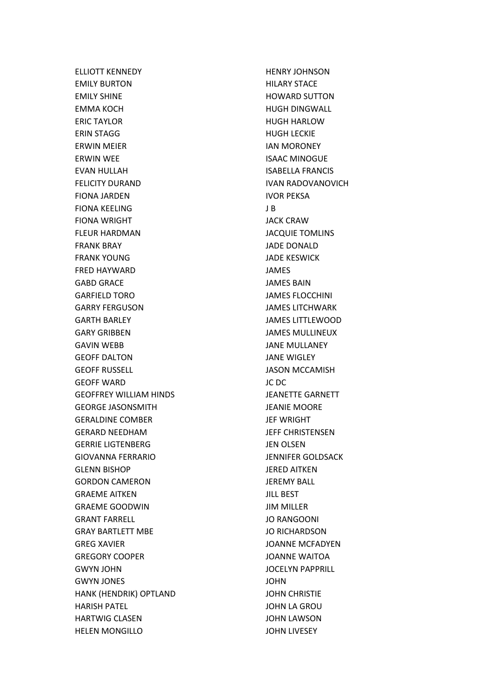ELLIOTT KENNEDY EMILY BURTON EMILY SHINE EMMA KOCH ERIC TAYLOR ERIN STAGG ERWIN MEIER ERWIN WEE EVAN HULLAH FELICITY DURAND FIONA JARDEN FIONA KEELING FIONA WRIGHT FLEUR HARDMAN FRANK BRAY FRANK YOUNG FRED HAYWARD GABD GRACE GARFIELD TORO GARRY FERGUSON GARTH BARLEY GARY GRIBBEN GAVIN WEBB GEOFF DALTON GEOFF RUSSELL GEOFF WARD GEOFFREY WILLIAM HINDS GEORGE JASONSMITH GERALDINE COMBER GERARD NEEDHAM GERRIE LIGTENBERG GIOVANNA FERRARIO GLENN BISHOP GORDON CAMERON GRAEME AITKEN GRAEME GOODWIN GRANT FARRELL GRAY BARTLETT MBE GREG XAVIER GREGORY COOPER GWYN JOHN GWYN JONES HANK (HENDRIK) OPTLAND HARISH PATEL HARTWIG CLASEN HELEN MONGILLO

HENRY JOHNSON HILARY STACE HOWARD SUTTON HUGH DINGWALL HUGH HARLOW HUGH LECKIE IAN MORONEY ISAAC MINOGUE ISABELLA FRANCIS IVAN RADOVANOVICH IVOR PEKSA J B JACK CRAW JACQUIE TOMLINS JADE DONALD JADE KESWICK JAMES JAMES BAIN JAMES FLOCCHINI JAMES LITCHWARK JAMES LITTLEWOOD JAMES MULLINEUX JANE MULLANEY JANE WIGLEY JASON MCCAMISH JC DC JEANETTE GARNETT JEANIE MOORE JEF WRIGHT JEFF CHRISTENSEN JEN OLSEN JENNIFER GOLDSACK JERED AITKEN JEREMY BALL JILL BEST JIM MILLER JO RANGOONI JO RICHARDSON JOANNE MCFADYEN JOANNE WAITOA JOCELYN PAPPRILL JOHN JOHN CHRISTIE JOHN LA GROU JOHN LAWSON JOHN LIVESEY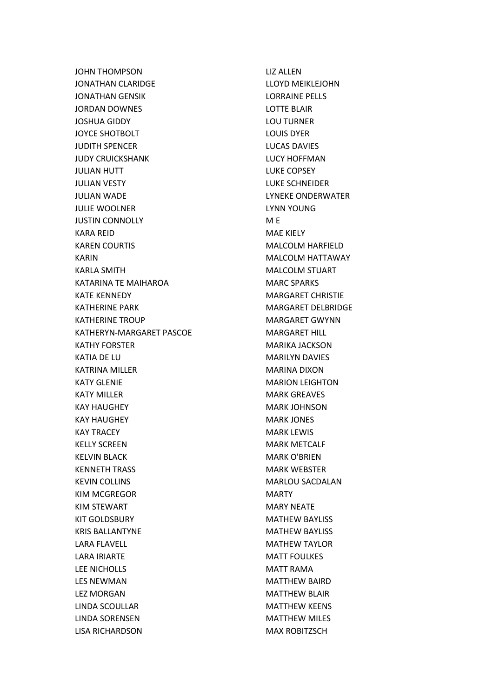JOHN THOMPSON JONATHAN CLARIDGE JONATHAN GENSIK JORDAN DOWNES JOSHUA GIDDY JOYCE SHOTBOLT JUDITH SPENCER JUDY CRUICKSHANK JULIAN HUTT JULIAN VESTY JULIAN WADE JULIE WOOLNER JUSTIN CONNOLLY KARA REID KAREN COURTIS KARIN KARLA SMITH KATARINA TE MAIHAROA KATE KENNEDY KATHERINE PARK KATHERINE TROUP KATHERYN-MARGARET PASCOE KATHY FORSTER KATIA DE LU KATRINA MILLER KATY GLENIE KATY MILLER KAY HAUGHEY KAY HAUGHEY KAY TRACEY KELLY SCREEN KELVIN BLACK KENNETH TRASS KEVIN COLLINS KIM MCGREGOR KIM STEWART KIT GOLDSBURY KRIS BALLANTYNE LARA FLAVELL LARA IRIARTE LEE NICHOLLS LES NEWMAN LEZ MORGAN LINDA SCOULLAR LINDA SORENSEN LISA RICHARDSON

LIZ ALLEN LLOYD MEIKLEJOHN LORRAINE PELLS LOTTE BLAIR LOU TURNER LOUIS DYER LUCAS DAVIES LUCY HOFFMAN LUKE COPSEY LUKE SCHNEIDER LYNEKE ONDERWATER LYNN YOUNG M E MAE KIELY MALCOLM HARFIELD MALCOLM HATTAWAY MALCOLM STUART MARC SPARKS MARGARET CHRISTIE MARGARET DELBRIDGE MARGARET GWYNN MARGARET HILL MARIKA JACKSON MARILYN DAVIES MARINA DIXON MARION LEIGHTON MARK GREAVES MARK JOHNSON MARK JONES MARK LEWIS MARK METCALF MARK O'BRIEN MARK WEBSTER MARLOU SACDALAN **MARTY** MARY NEATE MATHEW BAYLISS MATHEW BAYLISS MATHEW TAYLOR MATT FOULKES MATT RAMA MATTHEW BAIRD MATTHEW BLAIR MATTHEW KEENS MATTHEW MILES MAX ROBITZSCH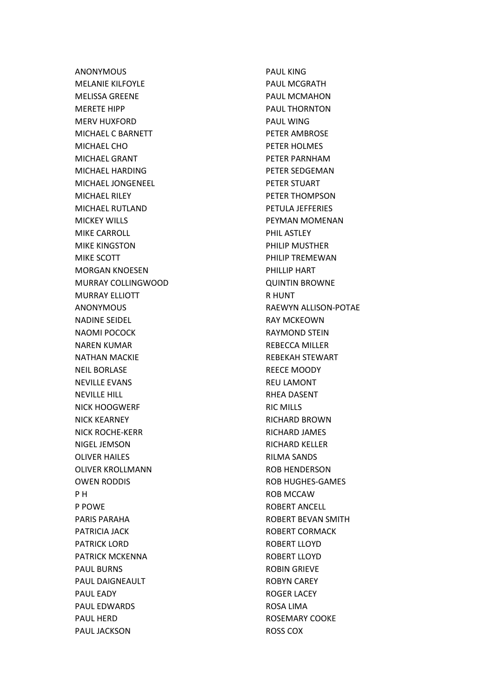ANONYMOUS MELANIE KILFOYLE MELISSA GREENE MERETE HIPP MERV HUXFORD MICHAEL C BARNETT MICHAEL CHO MICHAEL GRANT MICHAEL HARDING MICHAEL JONGENEEL MICHAEL RILEY MICHAEL RUTLAND MICKEY WILLS MIKE CARROLL MIKE KINGSTON MIKE SCOTT MORGAN KNOESEN MURRAY COLLINGWOOD MURRAY ELLIOTT ANONYMOUS NADINE SEIDEL NAOMI POCOCK NAREN KUMAR NATHAN MACKIE NEIL BORLASE NEVILLE EVANS NEVILLE HILL NICK HOOGWERF NICK KEARNEY NICK ROCHE-KERR NIGEL JEMSON OLIVER HAILES OLIVER KROLLMANN OWEN RODDIS P H P POWE PARIS PARAHA PATRICIA JACK PATRICK LORD PATRICK MCKENNA PAUL BURNS PAUL DAIGNEAULT PAUL EADY PAUL EDWARDS PAUL HERD PAUL JACKSON

PAUL KING PAUL MCGRATH PAUL MCMAHON PAUL THORNTON PAUL WING PETER AMBROSE PETER HOLMES PETER PARNHAM PETER SEDGEMAN PETER STUART PETER THOMPSON PETULA JEFFERIES PEYMAN MOMENAN PHIL ASTLEY PHILIP MUSTHER PHILIP TREMEWAN PHILLIP HART QUINTIN BROWNE R HUNT RAEWYN ALLISON-POTAE RAY MCKEOWN RAYMOND STEIN REBECCA MILLER REBEKAH STEWART REECE MOODY REU LAMONT RHEA DASENT RIC MILLS RICHARD BROWN RICHARD JAMES RICHARD KELLER RILMA SANDS ROB HENDERSON ROB HUGHES-GAMES ROB MCCAW ROBERT ANCELL ROBERT BEVAN SMITH ROBERT CORMACK ROBERT LLOYD ROBERT LLOYD ROBIN GRIEVE ROBYN CAREY ROGER LACEY ROSA LIMA ROSEMARY COOKE ROSS COX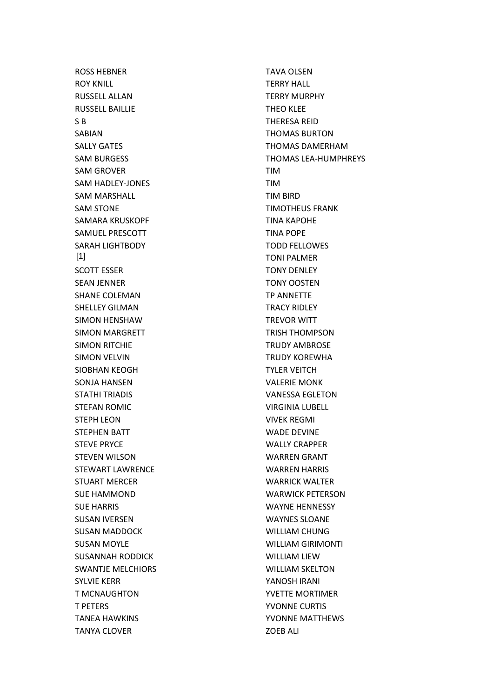ROSS HEBNER ROY KNILL RUSSELL ALLAN RUSSELL BAILLIE S B SABIAN SALLY GATES SAM BURGESS SAM GROVER SAM HADLEY-JONES SAM MARSHALL SAM STONE SAMARA KRUSKOPF SAMUEL PRESCOTT SARAH LIGHTBODY SCOTT ESSER SEAN JENNER SHANE COLEMAN SHELLEY GILMAN SIMON HENSHAW SIMON MARGRETT SIMON RITCHIE SIMON VELVIN SIOBHAN KEOGH SONJA HANSEN STATHI TRIADIS STEFAN ROMIC STEPH LEON STEPHEN BATT STEVE PRYCE STEVEN WILSON STEWART LAWRENCE STUART MERCER SUE HAMMOND SUE HARRIS SUSAN IVERSEN SUSAN MADDOCK SUSAN MOYLE SUSANNAH RODDICK SWANTJE MELCHIORS SYLVIE KERR T MCNAUGHTON T PETERS TANEA HAWKINS TANYA CLOVER [1]

TAVA OLSEN TERRY HALL TERRY MURPHY THEO KLEE THERESA REID THOMAS BURTON THOMAS DAMERHAM THOMAS LEA-HUMPHREYS TIM TIM TIM BIRD TIMOTHEUS FRANK TINA KAPOHE TINA POPE TODD FELLOWES TONI PALMER TONY DENLEY TONY OOSTEN TP ANNETTE TRACY RIDLEY TREVOR WITT TRISH THOMPSON TRUDY AMBROSE TRUDY KOREWHA TYLER VEITCH VALERIE MONK VANESSA EGLETON VIRGINIA LUBELL VIVEK REGMI WADE DEVINE WALLY CRAPPER WARREN GRANT WARREN HARRIS WARRICK WALTER WARWICK PETERSON WAYNE HENNESSY WAYNES SLOANE WILLIAM CHUNG WILLIAM GIRIMONTI WILLIAM LIEW WILLIAM SKELTON YANOSH IRANI YVETTE MORTIMER YVONNE CURTIS YVONNE MATTHEWS ZOEB ALI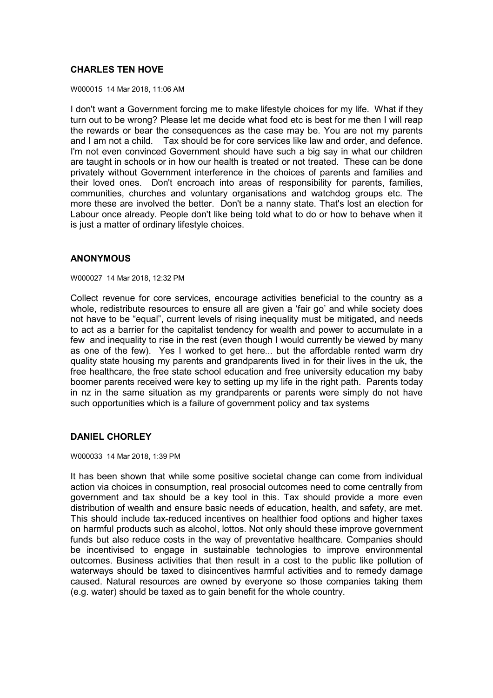# **CHARLES TEN HOVE**

W000015 14 Mar 2018, 11:06 AM

I don't want a Government forcing me to make lifestyle choices for my life. What if they turn out to be wrong? Please let me decide what food etc is best for me then I will reap the rewards or bear the consequences as the case may be. You are not my parents and I am not a child. Tax should be for core services like law and order, and defence. I'm not even convinced Government should have such a big say in what our children are taught in schools or in how our health is treated or not treated. These can be done privately without Government interference in the choices of parents and families and their loved ones. Don't encroach into areas of responsibility for parents, families, communities, churches and voluntary organisations and watchdog groups etc. The more these are involved the better. Don't be a nanny state. That's lost an election for Labour once already. People don't like being told what to do or how to behave when it is just a matter of ordinary lifestyle choices.

# **ANONYMOUS**

W000027 14 Mar 2018, 12:32 PM

Collect revenue for core services, encourage activities beneficial to the country as a whole, redistribute resources to ensure all are given a 'fair go' and while society does not have to be "equal", current levels of rising inequality must be mitigated, and needs to act as a barrier for the capitalist tendency for wealth and power to accumulate in a few and inequality to rise in the rest (even though I would currently be viewed by many as one of the few). Yes I worked to get here... but the affordable rented warm dry quality state housing my parents and grandparents lived in for their lives in the uk, the free healthcare, the free state school education and free university education my baby boomer parents received were key to setting up my life in the right path. Parents today in nz in the same situation as my grandparents or parents were simply do not have such opportunities which is a failure of government policy and tax systems

# **DANIEL CHORLEY**

W000033 14 Mar 2018, 1:39 PM

It has been shown that while some positive societal change can come from individual action via choices in consumption, real prosocial outcomes need to come centrally from government and tax should be a key tool in this. Tax should provide a more even distribution of wealth and ensure basic needs of education, health, and safety, are met. This should include tax-reduced incentives on healthier food options and higher taxes on harmful products such as alcohol, lottos. Not only should these improve government funds but also reduce costs in the way of preventative healthcare. Companies should be incentivised to engage in sustainable technologies to improve environmental outcomes. Business activities that then result in a cost to the public like pollution of waterways should be taxed to disincentives harmful activities and to remedy damage caused. Natural resources are owned by everyone so those companies taking them (e.g. water) should be taxed as to gain benefit for the whole country.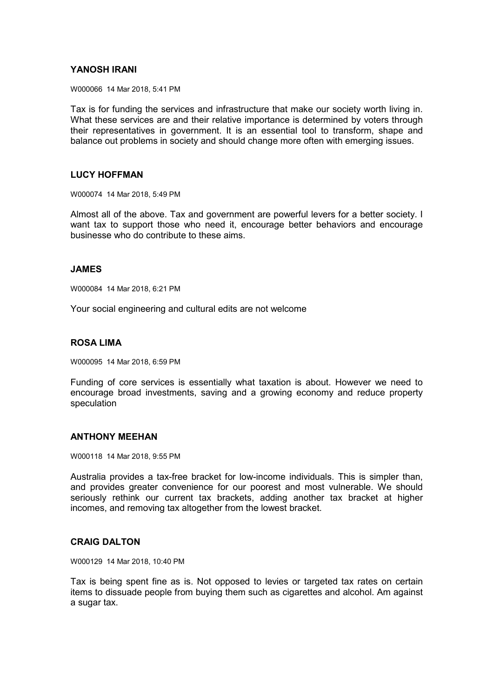# **YANOSH IRANI**

W000066 14 Mar 2018, 5:41 PM

Tax is for funding the services and infrastructure that make our society worth living in. What these services are and their relative importance is determined by voters through their representatives in government. It is an essential tool to transform, shape and balance out problems in society and should change more often with emerging issues.

### **LUCY HOFFMAN**

W000074 14 Mar 2018, 5:49 PM

Almost all of the above. Tax and government are powerful levers for a better society. I want tax to support those who need it, encourage better behaviors and encourage businesse who do contribute to these aims.

# **JAMES**

W000084 14 Mar 2018, 6:21 PM

Your social engineering and cultural edits are not welcome

### **ROSA LIMA**

W000095 14 Mar 2018, 6:59 PM

Funding of core services is essentially what taxation is about. However we need to encourage broad investments, saving and a growing economy and reduce property speculation

#### **ANTHONY MEEHAN**

W000118 14 Mar 2018, 9:55 PM

Australia provides a tax-free bracket for low-income individuals. This is simpler than, and provides greater convenience for our poorest and most vulnerable. We should seriously rethink our current tax brackets, adding another tax bracket at higher incomes, and removing tax altogether from the lowest bracket.

# **CRAIG DALTON**

W000129 14 Mar 2018, 10:40 PM

Tax is being spent fine as is. Not opposed to levies or targeted tax rates on certain items to dissuade people from buying them such as cigarettes and alcohol. Am against a sugar tax.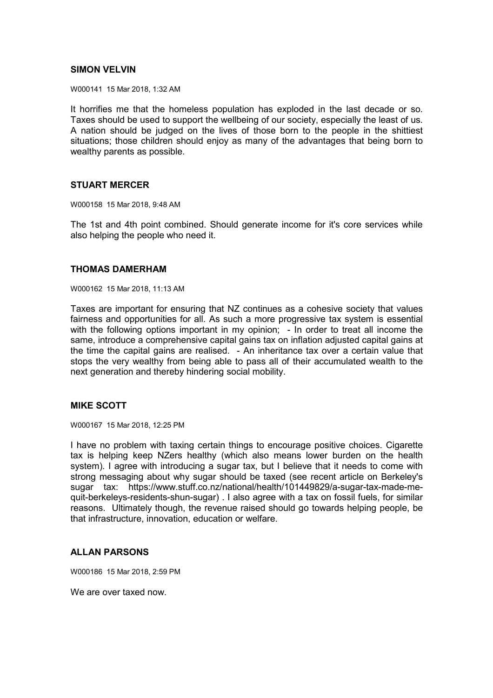# **SIMON VELVIN**

W000141 15 Mar 2018, 1:32 AM

It horrifies me that the homeless population has exploded in the last decade or so. Taxes should be used to support the wellbeing of our society, especially the least of us. A nation should be judged on the lives of those born to the people in the shittiest situations; those children should enjoy as many of the advantages that being born to wealthy parents as possible.

# **STUART MERCER**

W000158 15 Mar 2018, 9:48 AM

The 1st and 4th point combined. Should generate income for it's core services while also helping the people who need it.

# **THOMAS DAMERHAM**

W000162 15 Mar 2018, 11:13 AM

Taxes are important for ensuring that NZ continues as a cohesive society that values fairness and opportunities for all. As such a more progressive tax system is essential with the following options important in my opinion; - In order to treat all income the same, introduce a comprehensive capital gains tax on inflation adjusted capital gains at the time the capital gains are realised. - An inheritance tax over a certain value that stops the very wealthy from being able to pass all of their accumulated wealth to the next generation and thereby hindering social mobility.

# **MIKE SCOTT**

W000167 15 Mar 2018, 12:25 PM

I have no problem with taxing certain things to encourage positive choices. Cigarette tax is helping keep NZers healthy (which also means lower burden on the health system). I agree with introducing a sugar tax, but I believe that it needs to come with strong messaging about why sugar should be taxed (see recent article on Berkeley's sugar tax: https://www.stuff.co.nz/national/health/101449829/a-sugar-tax-made-mequit-berkeleys-residents-shun-sugar) . I also agree with a tax on fossil fuels, for similar reasons. Ultimately though, the revenue raised should go towards helping people, be that infrastructure, innovation, education or welfare.

# **ALLAN PARSONS**

W000186 15 Mar 2018, 2:59 PM

We are over taxed now.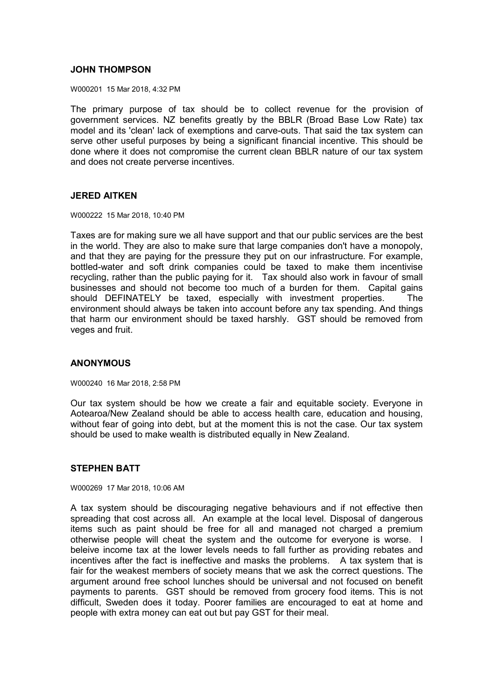# **JOHN THOMPSON**

W000201 15 Mar 2018, 4:32 PM

The primary purpose of tax should be to collect revenue for the provision of government services. NZ benefits greatly by the BBLR (Broad Base Low Rate) tax model and its 'clean' lack of exemptions and carve-outs. That said the tax system can serve other useful purposes by being a significant financial incentive. This should be done where it does not compromise the current clean BBLR nature of our tax system and does not create perverse incentives.

### **JERED AITKEN**

W000222 15 Mar 2018, 10:40 PM

Taxes are for making sure we all have support and that our public services are the best in the world. They are also to make sure that large companies don't have a monopoly, and that they are paying for the pressure they put on our infrastructure. For example, bottled-water and soft drink companies could be taxed to make them incentivise recycling, rather than the public paying for it. Tax should also work in favour of small businesses and should not become too much of a burden for them. Capital gains should DEFINATELY be taxed, especially with investment properties. The environment should always be taken into account before any tax spending. And things that harm our environment should be taxed harshly. GST should be removed from veges and fruit.

# **ANONYMOUS**

W000240 16 Mar 2018, 2:58 PM

Our tax system should be how we create a fair and equitable society. Everyone in Aotearoa/New Zealand should be able to access health care, education and housing, without fear of going into debt, but at the moment this is not the case. Our tax system should be used to make wealth is distributed equally in New Zealand.

# **STEPHEN BATT**

W000269 17 Mar 2018, 10:06 AM

A tax system should be discouraging negative behaviours and if not effective then spreading that cost across all. An example at the local level. Disposal of dangerous items such as paint should be free for all and managed not charged a premium otherwise people will cheat the system and the outcome for everyone is worse. I beleive income tax at the lower levels needs to fall further as providing rebates and incentives after the fact is ineffective and masks the problems. A tax system that is fair for the weakest members of society means that we ask the correct questions. The argument around free school lunches should be universal and not focused on benefit payments to parents. GST should be removed from grocery food items. This is not difficult, Sweden does it today. Poorer families are encouraged to eat at home and people with extra money can eat out but pay GST for their meal.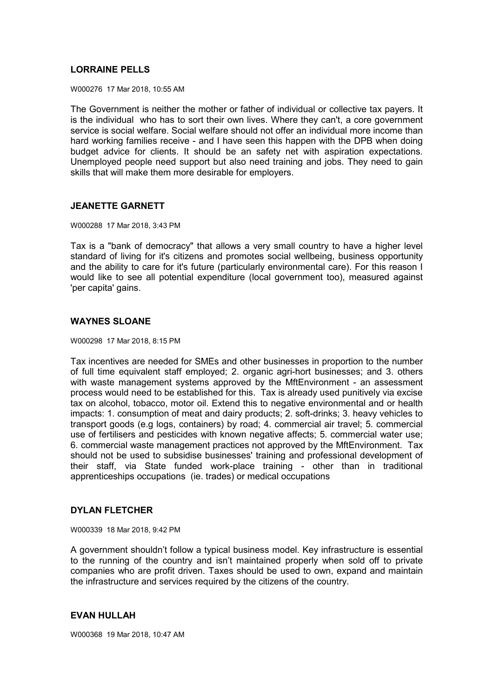# **LORRAINE PELLS**

W000276 17 Mar 2018, 10:55 AM

The Government is neither the mother or father of individual or collective tax payers. It is the individual who has to sort their own lives. Where they can't, a core government service is social welfare. Social welfare should not offer an individual more income than hard working families receive - and I have seen this happen with the DPB when doing budget advice for clients. It should be an safety net with aspiration expectations. Unemployed people need support but also need training and jobs. They need to gain skills that will make them more desirable for employers.

### **JEANETTE GARNETT**

W000288 17 Mar 2018, 3:43 PM

Tax is a "bank of democracy" that allows a very small country to have a higher level standard of living for it's citizens and promotes social wellbeing, business opportunity and the ability to care for it's future (particularly environmental care). For this reason I would like to see all potential expenditure (local government too), measured against 'per capita' gains.

# **WAYNES SLOANE**

W000298 17 Mar 2018, 8:15 PM

Tax incentives are needed for SMEs and other businesses in proportion to the number of full time equivalent staff employed; 2. organic agri-hort businesses; and 3. others with waste management systems approved by the MftEnvironment - an assessment process would need to be established for this. Tax is already used punitively via excise tax on alcohol, tobacco, motor oil. Extend this to negative environmental and or health impacts: 1. consumption of meat and dairy products; 2. soft-drinks; 3. heavy vehicles to transport goods (e.g logs, containers) by road; 4. commercial air travel; 5. commercial use of fertilisers and pesticides with known negative affects; 5. commercial water use; 6. commercial waste management practices not approved by the MftEnvironment. Tax should not be used to subsidise businesses' training and professional development of their staff, via State funded work-place training - other than in traditional apprenticeships occupations (ie. trades) or medical occupations

# **DYLAN FLETCHER**

W000339 18 Mar 2018, 9:42 PM

A government shouldn't follow a typical business model. Key infrastructure is essential to the running of the country and isn't maintained properly when sold off to private companies who are profit driven. Taxes should be used to own, expand and maintain the infrastructure and services required by the citizens of the country.

# **EVAN HULLAH**

W000368 19 Mar 2018, 10:47 AM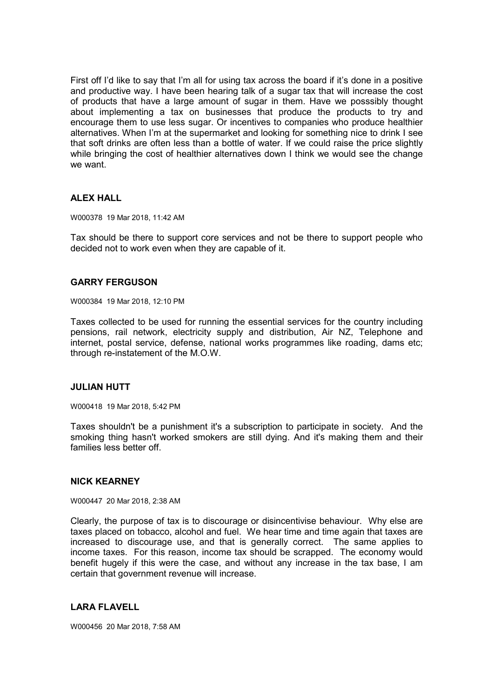First off I'd like to say that I'm all for using tax across the board if it's done in a positive and productive way. I have been hearing talk of a sugar tax that will increase the cost of products that have a large amount of sugar in them. Have we posssibly thought about implementing a tax on businesses that produce the products to try and encourage them to use less sugar. Or incentives to companies who produce healthier alternatives. When I'm at the supermarket and looking for something nice to drink I see that soft drinks are often less than a bottle of water. If we could raise the price slightly while bringing the cost of healthier alternatives down I think we would see the change we want.

# **ALEX HALL**

W000378 19 Mar 2018, 11:42 AM

Tax should be there to support core services and not be there to support people who decided not to work even when they are capable of it.

# **GARRY FERGUSON**

W000384 19 Mar 2018, 12:10 PM

Taxes collected to be used for running the essential services for the country including pensions, rail network, electricity supply and distribution, Air NZ, Telephone and internet, postal service, defense, national works programmes like roading, dams etc; through re-instatement of the M.O.W.

# **JULIAN HUTT**

W000418 19 Mar 2018, 5:42 PM

Taxes shouldn't be a punishment it's a subscription to participate in society. And the smoking thing hasn't worked smokers are still dying. And it's making them and their families less better off.

# **NICK KEARNEY**

W000447 20 Mar 2018, 2:38 AM

Clearly, the purpose of tax is to discourage or disincentivise behaviour. Why else are taxes placed on tobacco, alcohol and fuel. We hear time and time again that taxes are increased to discourage use, and that is generally correct. The same applies to income taxes. For this reason, income tax should be scrapped. The economy would benefit hugely if this were the case, and without any increase in the tax base, I am certain that government revenue will increase.

# **LARA FLAVELL**

W000456 20 Mar 2018, 7:58 AM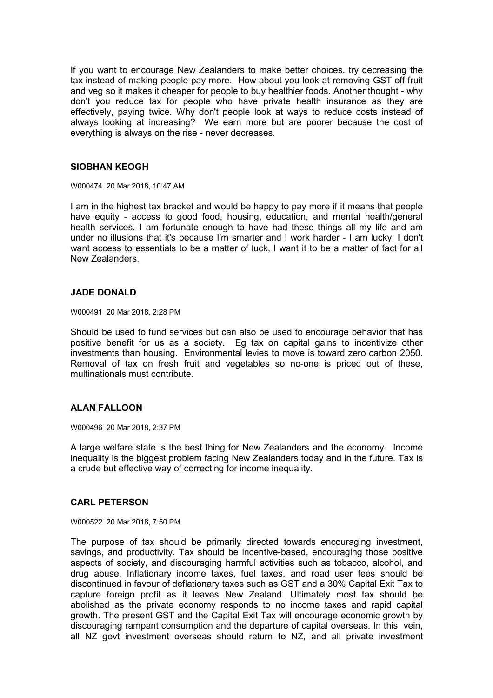If you want to encourage New Zealanders to make better choices, try decreasing the tax instead of making people pay more. How about you look at removing GST off fruit and veg so it makes it cheaper for people to buy healthier foods. Another thought - why don't you reduce tax for people who have private health insurance as they are effectively, paying twice. Why don't people look at ways to reduce costs instead of always looking at increasing? We earn more but are poorer because the cost of everything is always on the rise - never decreases.

### **SIOBHAN KEOGH**

W000474 20 Mar 2018, 10:47 AM

I am in the highest tax bracket and would be happy to pay more if it means that people have equity - access to good food, housing, education, and mental health/general health services. I am fortunate enough to have had these things all my life and am under no illusions that it's because I'm smarter and I work harder - I am lucky. I don't want access to essentials to be a matter of luck, I want it to be a matter of fact for all New Zealanders.

# **JADE DONALD**

W000491 20 Mar 2018, 2:28 PM

Should be used to fund services but can also be used to encourage behavior that has positive benefit for us as a society. Eg tax on capital gains to incentivize other investments than housing. Environmental levies to move is toward zero carbon 2050. Removal of tax on fresh fruit and vegetables so no-one is priced out of these, multinationals must contribute.

# **ALAN FALLOON**

W000496 20 Mar 2018, 2:37 PM

A large welfare state is the best thing for New Zealanders and the economy. Income inequality is the biggest problem facing New Zealanders today and in the future. Tax is a crude but effective way of correcting for income inequality.

#### **CARL PETERSON**

W000522 20 Mar 2018, 7:50 PM

The purpose of tax should be primarily directed towards encouraging investment, savings, and productivity. Tax should be incentive-based, encouraging those positive aspects of society, and discouraging harmful activities such as tobacco, alcohol, and drug abuse. Inflationary income taxes, fuel taxes, and road user fees should be discontinued in favour of deflationary taxes such as GST and a 30% Capital Exit Tax to capture foreign profit as it leaves New Zealand. Ultimately most tax should be abolished as the private economy responds to no income taxes and rapid capital growth. The present GST and the Capital Exit Tax will encourage economic growth by discouraging rampant consumption and the departure of capital overseas. In this vein, all NZ govt investment overseas should return to NZ, and all private investment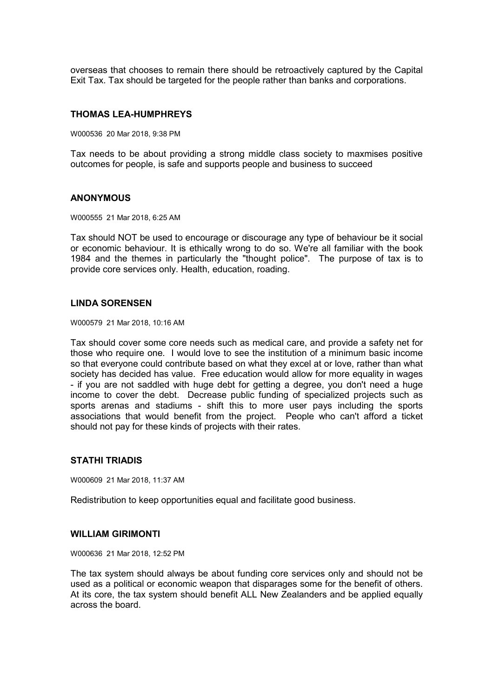overseas that chooses to remain there should be retroactively captured by the Capital Exit Tax. Tax should be targeted for the people rather than banks and corporations.

#### **THOMAS LEA-HUMPHREYS**

W000536 20 Mar 2018, 9:38 PM

Tax needs to be about providing a strong middle class society to maxmises positive outcomes for people, is safe and supports people and business to succeed

### **ANONYMOUS**

W000555 21 Mar 2018, 6:25 AM

Tax should NOT be used to encourage or discourage any type of behaviour be it social or economic behaviour. It is ethically wrong to do so. We're all familiar with the book 1984 and the themes in particularly the "thought police". The purpose of tax is to provide core services only. Health, education, roading.

#### **LINDA SORENSEN**

W000579 21 Mar 2018, 10:16 AM

Tax should cover some core needs such as medical care, and provide a safety net for those who require one. I would love to see the institution of a minimum basic income so that everyone could contribute based on what they excel at or love, rather than what society has decided has value. Free education would allow for more equality in wages - if you are not saddled with huge debt for getting a degree, you don't need a huge income to cover the debt. Decrease public funding of specialized projects such as sports arenas and stadiums - shift this to more user pays including the sports associations that would benefit from the project. People who can't afford a ticket should not pay for these kinds of projects with their rates.

#### **STATHI TRIADIS**

W000609 21 Mar 2018, 11:37 AM

Redistribution to keep opportunities equal and facilitate good business.

# **WILLIAM GIRIMONTI**

W000636 21 Mar 2018, 12:52 PM

The tax system should always be about funding core services only and should not be used as a political or economic weapon that disparages some for the benefit of others. At its core, the tax system should benefit ALL New Zealanders and be applied equally across the board.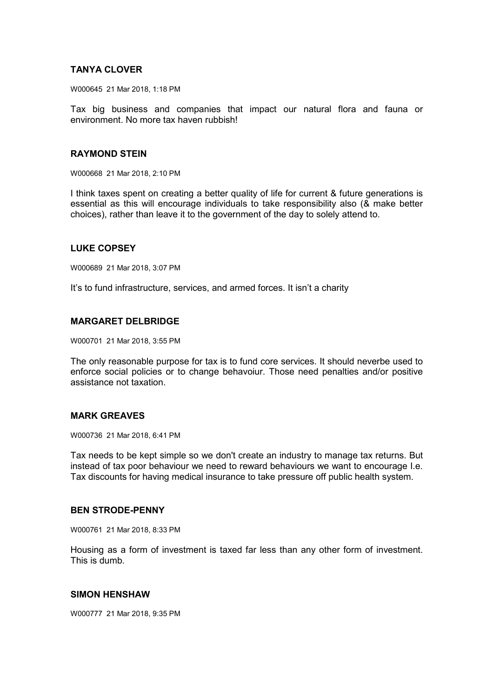# **TANYA CLOVER**

W000645 21 Mar 2018, 1:18 PM

Tax big business and companies that impact our natural flora and fauna or environment. No more tax haven rubbish!

### **RAYMOND STEIN**

W000668 21 Mar 2018, 2:10 PM

I think taxes spent on creating a better quality of life for current & future generations is essential as this will encourage individuals to take responsibility also (& make better choices), rather than leave it to the government of the day to solely attend to.

# **LUKE COPSEY**

W000689 21 Mar 2018, 3:07 PM

It's to fund infrastructure, services, and armed forces. It isn't a charity

# **MARGARET DELBRIDGE**

W000701 21 Mar 2018, 3:55 PM

The only reasonable purpose for tax is to fund core services. It should neverbe used to enforce social policies or to change behavoiur. Those need penalties and/or positive assistance not taxation.

# **MARK GREAVES**

W000736 21 Mar 2018, 6:41 PM

Tax needs to be kept simple so we don't create an industry to manage tax returns. But instead of tax poor behaviour we need to reward behaviours we want to encourage I.e. Tax discounts for having medical insurance to take pressure off public health system.

# **BEN STRODE-PENNY**

W000761 21 Mar 2018, 8:33 PM

Housing as a form of investment is taxed far less than any other form of investment. This is dumb.

# **SIMON HENSHAW**

W000777 21 Mar 2018, 9:35 PM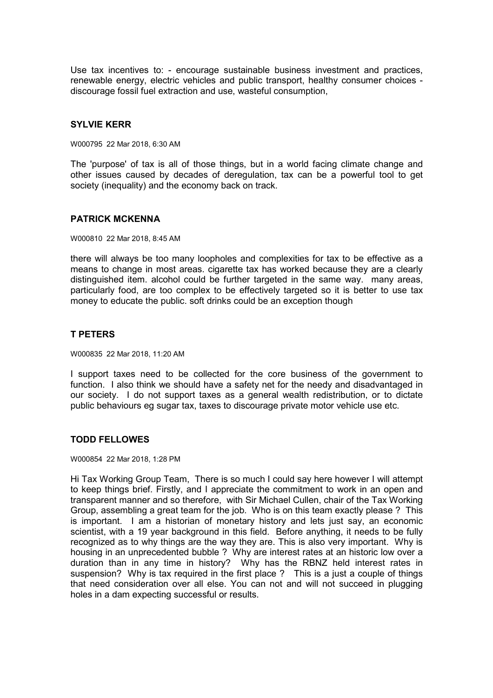Use tax incentives to: - encourage sustainable business investment and practices, renewable energy, electric vehicles and public transport, healthy consumer choices discourage fossil fuel extraction and use, wasteful consumption,

# **SYLVIE KERR**

W000795 22 Mar 2018, 6:30 AM

The 'purpose' of tax is all of those things, but in a world facing climate change and other issues caused by decades of deregulation, tax can be a powerful tool to get society (inequality) and the economy back on track.

# **PATRICK MCKENNA**

W000810 22 Mar 2018, 8:45 AM

there will always be too many loopholes and complexities for tax to be effective as a means to change in most areas, cigarette tax has worked because they are a clearly distinguished item. alcohol could be further targeted in the same way. many areas, particularly food, are too complex to be effectively targeted so it is better to use tax money to educate the public. soft drinks could be an exception though

# **T PETERS**

W000835 22 Mar 2018, 11:20 AM

I support taxes need to be collected for the core business of the government to function. I also think we should have a safety net for the needy and disadvantaged in our society. I do not support taxes as a general wealth redistribution, or to dictate public behaviours eg sugar tax, taxes to discourage private motor vehicle use etc.

# **TODD FELLOWES**

W000854 22 Mar 2018, 1:28 PM

Hi Tax Working Group Team, There is so much I could say here however I will attempt to keep things brief. Firstly, and I appreciate the commitment to work in an open and transparent manner and so therefore, with Sir Michael Cullen, chair of the Tax Working Group, assembling a great team for the job. Who is on this team exactly please ? This is important. I am a historian of monetary history and lets just say, an economic scientist, with a 19 year background in this field. Before anything, it needs to be fully recognized as to why things are the way they are. This is also very important. Why is housing in an unprecedented bubble ? Why are interest rates at an historic low over a duration than in any time in history? Why has the RBNZ held interest rates in suspension? Why is tax required in the first place ? This is a just a couple of things that need consideration over all else. You can not and will not succeed in plugging holes in a dam expecting successful or results.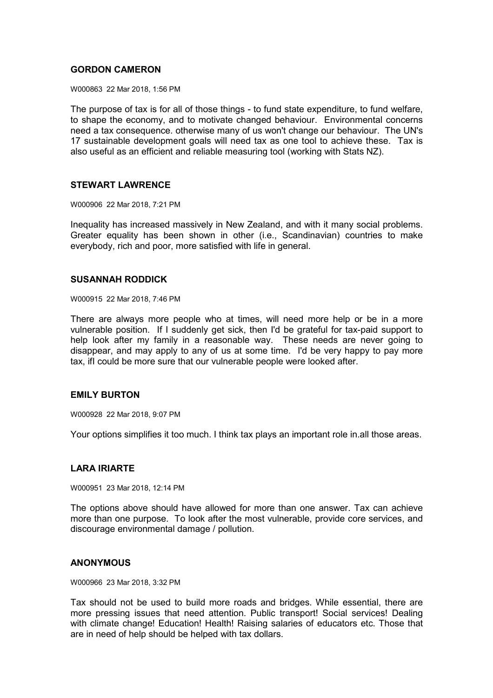# **GORDON CAMERON**

W000863 22 Mar 2018, 1:56 PM

The purpose of tax is for all of those things - to fund state expenditure, to fund welfare, to shape the economy, and to motivate changed behaviour. Environmental concerns need a tax consequence. otherwise many of us won't change our behaviour. The UN's 17 sustainable development goals will need tax as one tool to achieve these. Tax is also useful as an efficient and reliable measuring tool (working with Stats NZ).

### **STEWART LAWRENCE**

W000906 22 Mar 2018, 7:21 PM

Inequality has increased massively in New Zealand, and with it many social problems. Greater equality has been shown in other (i.e., Scandinavian) countries to make everybody, rich and poor, more satisfied with life in general.

### **SUSANNAH RODDICK**

W000915 22 Mar 2018, 7:46 PM

There are always more people who at times, will need more help or be in a more vulnerable position. If I suddenly get sick, then I'd be grateful for tax-paid support to help look after my family in a reasonable way. These needs are never going to disappear, and may apply to any of us at some time. I'd be very happy to pay more tax, ifI could be more sure that our vulnerable people were looked after.

# **EMILY BURTON**

W000928 22 Mar 2018, 9:07 PM

Your options simplifies it too much. I think tax plays an important role in.all those areas.

# **LARA IRIARTE**

W000951 23 Mar 2018, 12:14 PM

The options above should have allowed for more than one answer. Tax can achieve more than one purpose. To look after the most vulnerable, provide core services, and discourage environmental damage / pollution.

#### **ANONYMOUS**

W000966 23 Mar 2018, 3:32 PM

Tax should not be used to build more roads and bridges. While essential, there are more pressing issues that need attention. Public transport! Social services! Dealing with climate change! Education! Health! Raising salaries of educators etc. Those that are in need of help should be helped with tax dollars.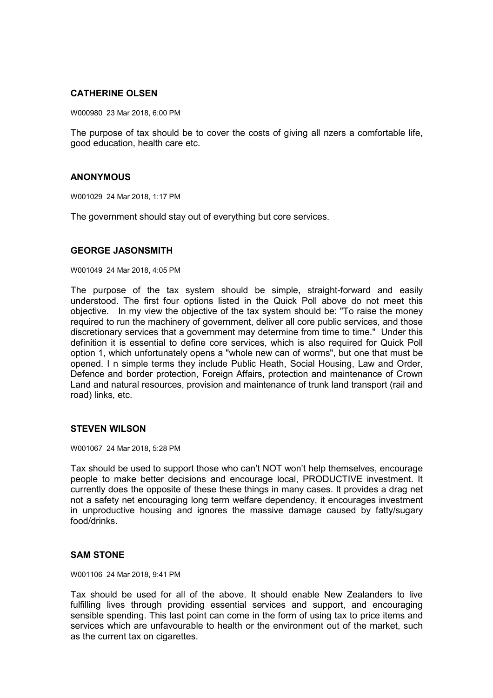# **CATHERINE OLSEN**

W000980 23 Mar 2018, 6:00 PM

The purpose of tax should be to cover the costs of giving all nzers a comfortable life, good education, health care etc.

# **ANONYMOUS**

W001029 24 Mar 2018, 1:17 PM

The government should stay out of everything but core services.

### **GEORGE JASONSMITH**

W001049 24 Mar 2018, 4:05 PM

The purpose of the tax system should be simple, straight-forward and easily understood. The first four options listed in the Quick Poll above do not meet this objective. In my view the objective of the tax system should be: "To raise the money required to run the machinery of government, deliver all core public services, and those discretionary services that a government may determine from time to time." Under this definition it is essential to define core services, which is also required for Quick Poll option 1, which unfortunately opens a "whole new can of worms", but one that must be opened. I n simple terms they include Public Heath, Social Housing, Law and Order, Defence and border protection, Foreign Affairs, protection and maintenance of Crown Land and natural resources, provision and maintenance of trunk land transport (rail and road) links, etc.

#### **STEVEN WILSON**

W001067 24 Mar 2018, 5:28 PM

Tax should be used to support those who can't NOT won't help themselves, encourage people to make better decisions and encourage local, PRODUCTIVE investment. It currently does the opposite of these these things in many cases. It provides a drag net not a safety net encouraging long term welfare dependency, it encourages investment in unproductive housing and ignores the massive damage caused by fatty/sugary food/drinks.

# **SAM STONE**

W001106 24 Mar 2018, 9:41 PM

Tax should be used for all of the above. It should enable New Zealanders to live fulfilling lives through providing essential services and support, and encouraging sensible spending. This last point can come in the form of using tax to price items and services which are unfavourable to health or the environment out of the market, such as the current tax on cigarettes.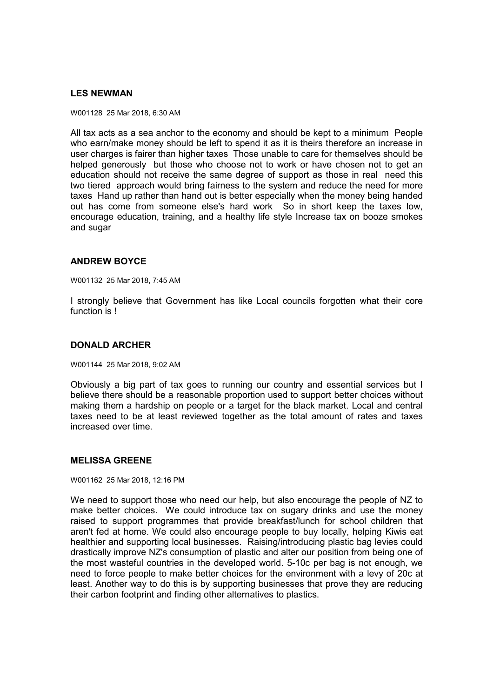# **LES NEWMAN**

W001128 25 Mar 2018, 6:30 AM

All tax acts as a sea anchor to the economy and should be kept to a minimum People who earn/make money should be left to spend it as it is theirs therefore an increase in user charges is fairer than higher taxes Those unable to care for themselves should be helped generously but those who choose not to work or have chosen not to get an education should not receive the same degree of support as those in real need this two tiered approach would bring fairness to the system and reduce the need for more taxes Hand up rather than hand out is better especially when the money being handed out has come from someone else's hard work So in short keep the taxes low, encourage education, training, and a healthy life style Increase tax on booze smokes and sugar

# **ANDREW BOYCE**

W001132 25 Mar 2018, 7:45 AM

I strongly believe that Government has like Local councils forgotten what their core function is !

# **DONALD ARCHER**

W001144 25 Mar 2018, 9:02 AM

Obviously a big part of tax goes to running our country and essential services but I believe there should be a reasonable proportion used to support better choices without making them a hardship on people or a target for the black market. Local and central taxes need to be at least reviewed together as the total amount of rates and taxes increased over time.

# **MELISSA GREENE**

W001162 25 Mar 2018, 12:16 PM

We need to support those who need our help, but also encourage the people of NZ to make better choices. We could introduce tax on sugary drinks and use the money raised to support programmes that provide breakfast/lunch for school children that aren't fed at home. We could also encourage people to buy locally, helping Kiwis eat healthier and supporting local businesses. Raising/introducing plastic bag levies could drastically improve NZ's consumption of plastic and alter our position from being one of the most wasteful countries in the developed world. 5-10c per bag is not enough, we need to force people to make better choices for the environment with a levy of 20c at least. Another way to do this is by supporting businesses that prove they are reducing their carbon footprint and finding other alternatives to plastics.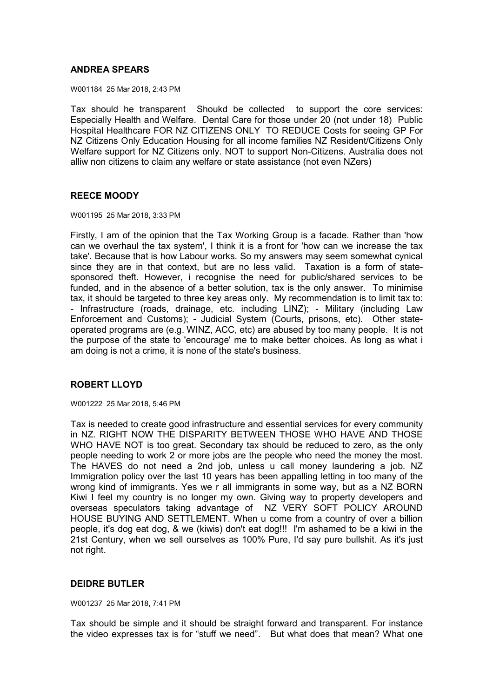# **ANDREA SPEARS**

W001184 25 Mar 2018, 2:43 PM

Tax should he transparent Shoukd be collected to support the core services: Especially Health and Welfare. Dental Care for those under 20 (not under 18) Public Hospital Healthcare FOR NZ CITIZENS ONLY TO REDUCE Costs for seeing GP For NZ Citizens Only Education Housing for all income families NZ Resident/Citizens Only Welfare support for NZ Citizens only. NOT to support Non-Citizens. Australia does not alliw non citizens to claim any welfare or state assistance (not even NZers)

# **REECE MOODY**

W001195 25 Mar 2018, 3:33 PM

Firstly, I am of the opinion that the Tax Working Group is a facade. Rather than 'how can we overhaul the tax system', I think it is a front for 'how can we increase the tax take'. Because that is how Labour works. So my answers may seem somewhat cynical since they are in that context, but are no less valid. Taxation is a form of statesponsored theft. However, i recognise the need for public/shared services to be funded, and in the absence of a better solution, tax is the only answer. To minimise tax, it should be targeted to three key areas only. My recommendation is to limit tax to: - Infrastructure (roads, drainage, etc. including LINZ); - Military (including Law Enforcement and Customs); - Judicial System (Courts, prisons, etc). Other stateoperated programs are (e.g. WINZ, ACC, etc) are abused by too many people. It is not the purpose of the state to 'encourage' me to make better choices. As long as what i am doing is not a crime, it is none of the state's business.

# **ROBERT LLOYD**

W001222 25 Mar 2018, 5:46 PM

Tax is needed to create good infrastructure and essential services for every community in NZ. RIGHT NOW THE DISPARITY BETWEEN THOSE WHO HAVE AND THOSE WHO HAVE NOT is too great. Secondary tax should be reduced to zero, as the only people needing to work 2 or more jobs are the people who need the money the most. The HAVES do not need a 2nd job, unless u call money laundering a job. NZ Immigration policy over the last 10 years has been appalling letting in too many of the wrong kind of immigrants. Yes we r all immigrants in some way, but as a NZ BORN Kiwi I feel my country is no longer my own. Giving way to property developers and overseas speculators taking advantage of NZ VERY SOFT POLICY AROUND HOUSE BUYING AND SETTLEMENT. When u come from a country of over a billion people, it's dog eat dog, & we (kiwis) don't eat dog!!! I'm ashamed to be a kiwi in the 21st Century, when we sell ourselves as 100% Pure, I'd say pure bullshit. As it's just not right.

# **DEIDRE BUTLER**

W001237 25 Mar 2018, 7:41 PM

Tax should be simple and it should be straight forward and transparent. For instance the video expresses tax is for "stuff we need". But what does that mean? What one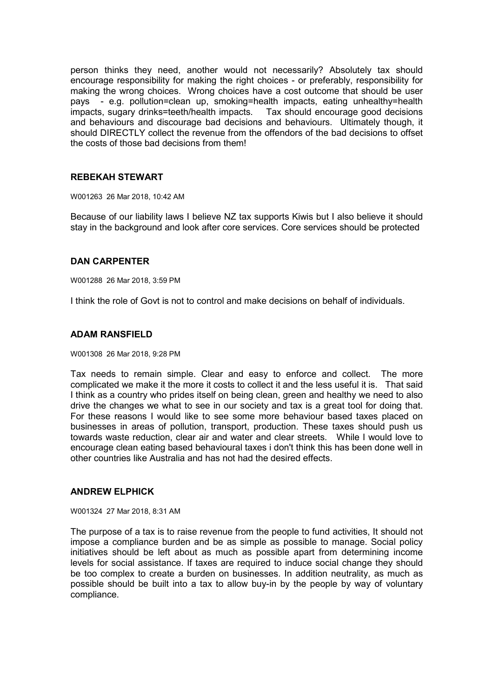person thinks they need, another would not necessarily? Absolutely tax should encourage responsibility for making the right choices - or preferably, responsibility for making the wrong choices. Wrong choices have a cost outcome that should be user pays - e.g. pollution=clean up, smoking=health impacts, eating unhealthy=health impacts, sugary drinks=teeth/health impacts. Tax should encourage good decisions and behaviours and discourage bad decisions and behaviours. Ultimately though, it should DIRECTLY collect the revenue from the offendors of the bad decisions to offset the costs of those bad decisions from them!

# **REBEKAH STEWART**

W001263 26 Mar 2018, 10:42 AM

Because of our liability laws I believe NZ tax supports Kiwis but I also believe it should stay in the background and look after core services. Core services should be protected

# **DAN CARPENTER**

W001288 26 Mar 2018, 3:59 PM

I think the role of Govt is not to control and make decisions on behalf of individuals.

### **ADAM RANSFIELD**

W001308 26 Mar 2018, 9:28 PM

Tax needs to remain simple. Clear and easy to enforce and collect. The more complicated we make it the more it costs to collect it and the less useful it is. That said I think as a country who prides itself on being clean, green and healthy we need to also drive the changes we what to see in our society and tax is a great tool for doing that. For these reasons I would like to see some more behaviour based taxes placed on businesses in areas of pollution, transport, production. These taxes should push us towards waste reduction, clear air and water and clear streets. While I would love to encourage clean eating based behavioural taxes i don't think this has been done well in other countries like Australia and has not had the desired effects.

# **ANDREW ELPHICK**

W001324 27 Mar 2018, 8:31 AM

The purpose of a tax is to raise revenue from the people to fund activities, It should not impose a compliance burden and be as simple as possible to manage. Social policy initiatives should be left about as much as possible apart from determining income levels for social assistance. If taxes are required to induce social change they should be too complex to create a burden on businesses. In addition neutrality, as much as possible should be built into a tax to allow buy-in by the people by way of voluntary compliance.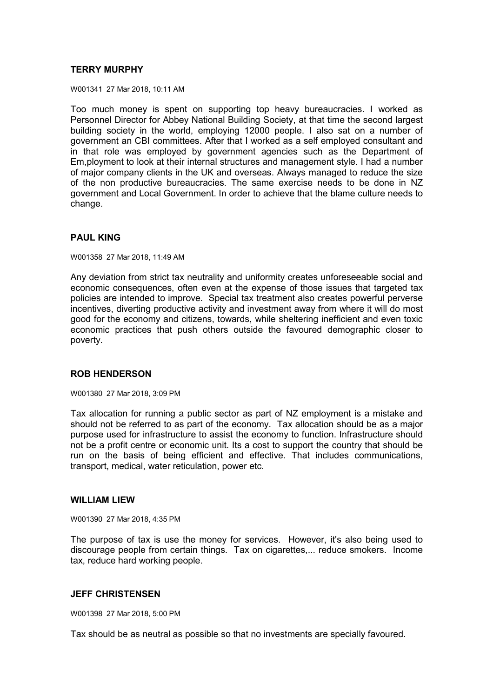# **TERRY MURPHY**

W001341 27 Mar 2018, 10:11 AM

Too much money is spent on supporting top heavy bureaucracies. I worked as Personnel Director for Abbey National Building Society, at that time the second largest building society in the world, employing 12000 people. I also sat on a number of government an CBI committees. After that I worked as a self employed consultant and in that role was employed by government agencies such as the Department of Em,ployment to look at their internal structures and management style. I had a number of major company clients in the UK and overseas. Always managed to reduce the size of the non productive bureaucracies. The same exercise needs to be done in NZ government and Local Government. In order to achieve that the blame culture needs to change.

# **PAUL KING**

W001358 27 Mar 2018, 11:49 AM

Any deviation from strict tax neutrality and uniformity creates unforeseeable social and economic consequences, often even at the expense of those issues that targeted tax policies are intended to improve. Special tax treatment also creates powerful perverse incentives, diverting productive activity and investment away from where it will do most good for the economy and citizens, towards, while sheltering inefficient and even toxic economic practices that push others outside the favoured demographic closer to poverty.

# **ROB HENDERSON**

W001380 27 Mar 2018, 3:09 PM

Tax allocation for running a public sector as part of NZ employment is a mistake and should not be referred to as part of the economy. Tax allocation should be as a major purpose used for infrastructure to assist the economy to function. Infrastructure should not be a profit centre or economic unit. Its a cost to support the country that should be run on the basis of being efficient and effective. That includes communications, transport, medical, water reticulation, power etc.

# **WILLIAM LIEW**

W001390 27 Mar 2018, 4:35 PM

The purpose of tax is use the money for services. However, it's also being used to discourage people from certain things. Tax on cigarettes,... reduce smokers. Income tax, reduce hard working people.

# **JEFF CHRISTENSEN**

W001398 27 Mar 2018, 5:00 PM

Tax should be as neutral as possible so that no investments are specially favoured.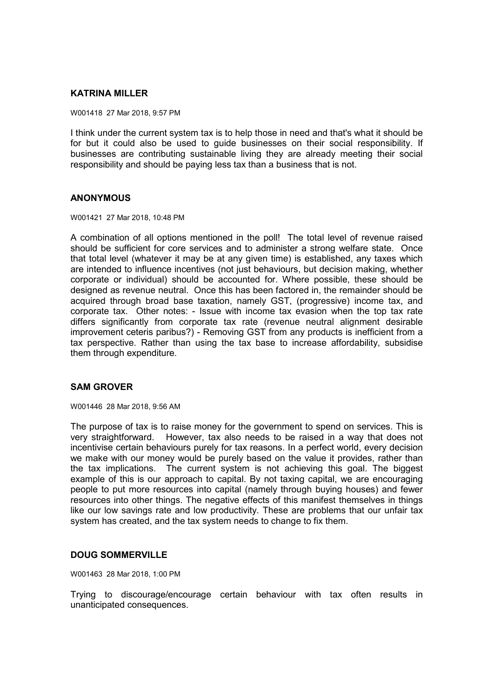# **KATRINA MILLER**

W001418 27 Mar 2018, 9:57 PM

I think under the current system tax is to help those in need and that's what it should be for but it could also be used to guide businesses on their social responsibility. If businesses are contributing sustainable living they are already meeting their social responsibility and should be paying less tax than a business that is not.

# **ANONYMOUS**

W001421 27 Mar 2018, 10:48 PM

A combination of all options mentioned in the poll! The total level of revenue raised should be sufficient for core services and to administer a strong welfare state. Once that total level (whatever it may be at any given time) is established, any taxes which are intended to influence incentives (not just behaviours, but decision making, whether corporate or individual) should be accounted for. Where possible, these should be designed as revenue neutral. Once this has been factored in, the remainder should be acquired through broad base taxation, namely GST, (progressive) income tax, and corporate tax. Other notes: - Issue with income tax evasion when the top tax rate differs significantly from corporate tax rate (revenue neutral alignment desirable improvement ceteris paribus?) - Removing GST from any products is inefficient from a tax perspective. Rather than using the tax base to increase affordability, subsidise them through expenditure.

# **SAM GROVER**

W001446 28 Mar 2018, 9:56 AM

The purpose of tax is to raise money for the government to spend on services. This is very straightforward. However, tax also needs to be raised in a way that does not incentivise certain behaviours purely for tax reasons. In a perfect world, every decision we make with our money would be purely based on the value it provides, rather than the tax implications. The current system is not achieving this goal. The biggest example of this is our approach to capital. By not taxing capital, we are encouraging people to put more resources into capital (namely through buying houses) and fewer resources into other things. The negative effects of this manifest themselves in things like our low savings rate and low productivity. These are problems that our unfair tax system has created, and the tax system needs to change to fix them.

# **DOUG SOMMERVILLE**

W001463 28 Mar 2018, 1:00 PM

Trying to discourage/encourage certain behaviour with tax often results in unanticipated consequences.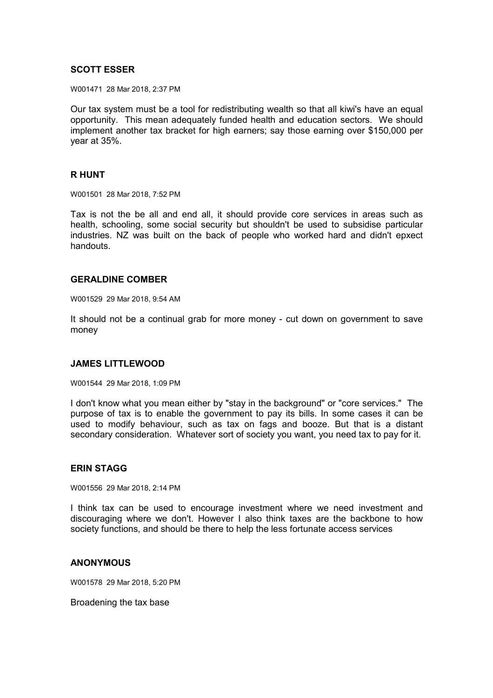# **SCOTT ESSER**

W001471 28 Mar 2018, 2:37 PM

Our tax system must be a tool for redistributing wealth so that all kiwi's have an equal opportunity. This mean adequately funded health and education sectors. We should implement another tax bracket for high earners; say those earning over \$150,000 per year at 35%.

### **R HUNT**

W001501 28 Mar 2018, 7:52 PM

Tax is not the be all and end all, it should provide core services in areas such as health, schooling, some social security but shouldn't be used to subsidise particular industries. NZ was built on the back of people who worked hard and didn't epxect handouts.

### **GERALDINE COMBER**

W001529 29 Mar 2018, 9:54 AM

It should not be a continual grab for more money - cut down on government to save money

#### **JAMES LITTLEWOOD**

W001544 29 Mar 2018, 1:09 PM

I don't know what you mean either by "stay in the background" or "core services." The purpose of tax is to enable the government to pay its bills. In some cases it can be used to modify behaviour, such as tax on fags and booze. But that is a distant secondary consideration. Whatever sort of society you want, you need tax to pay for it.

# **ERIN STAGG**

W001556 29 Mar 2018, 2:14 PM

I think tax can be used to encourage investment where we need investment and discouraging where we don't. However I also think taxes are the backbone to how society functions, and should be there to help the less fortunate access services

#### **ANONYMOUS**

W001578 29 Mar 2018, 5:20 PM

Broadening the tax base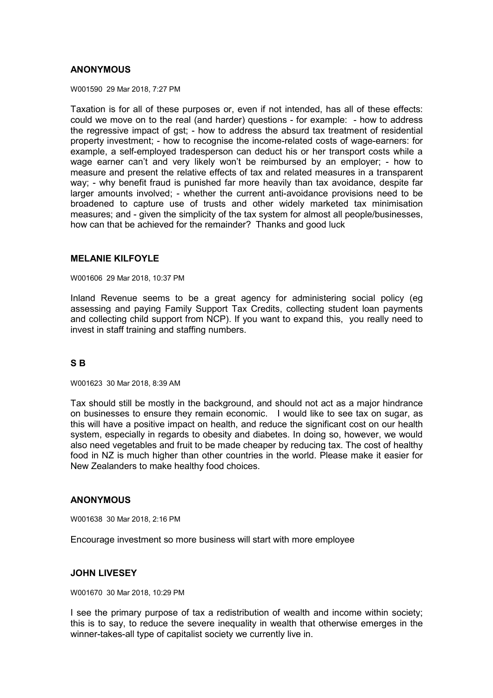# **ANONYMOUS**

W001590 29 Mar 2018, 7:27 PM

Taxation is for all of these purposes or, even if not intended, has all of these effects: could we move on to the real (and harder) questions - for example: - how to address the regressive impact of gst; - how to address the absurd tax treatment of residential property investment; - how to recognise the income-related costs of wage-earners: for example, a self-employed tradesperson can deduct his or her transport costs while a wage earner can't and very likely won't be reimbursed by an employer; - how to measure and present the relative effects of tax and related measures in a transparent way; - why benefit fraud is punished far more heavily than tax avoidance, despite far larger amounts involved; - whether the current anti-avoidance provisions need to be broadened to capture use of trusts and other widely marketed tax minimisation measures; and - given the simplicity of the tax system for almost all people/businesses, how can that be achieved for the remainder? Thanks and good luck

# **MELANIE KILFOYLE**

W001606 29 Mar 2018, 10:37 PM

Inland Revenue seems to be a great agency for administering social policy (eg assessing and paying Family Support Tax Credits, collecting student loan payments and collecting child support from NCP). If you want to expand this, you really need to invest in staff training and staffing numbers.

# **S B**

W001623 30 Mar 2018, 8:39 AM

Tax should still be mostly in the background, and should not act as a major hindrance on businesses to ensure they remain economic. I would like to see tax on sugar, as this will have a positive impact on health, and reduce the significant cost on our health system, especially in regards to obesity and diabetes. In doing so, however, we would also need vegetables and fruit to be made cheaper by reducing tax. The cost of healthy food in NZ is much higher than other countries in the world. Please make it easier for New Zealanders to make healthy food choices.

# **ANONYMOUS**

W001638 30 Mar 2018, 2:16 PM

Encourage investment so more business will start with more employee

# **JOHN LIVESEY**

W001670 30 Mar 2018, 10:29 PM

I see the primary purpose of tax a redistribution of wealth and income within society; this is to say, to reduce the severe inequality in wealth that otherwise emerges in the winner-takes-all type of capitalist society we currently live in.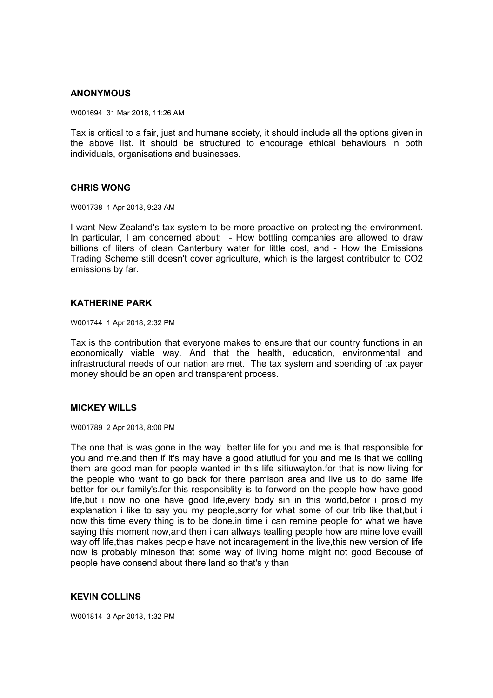# **ANONYMOUS**

W001694 31 Mar 2018, 11:26 AM

Tax is critical to a fair, just and humane society, it should include all the options given in the above list. It should be structured to encourage ethical behaviours in both individuals, organisations and businesses.

### **CHRIS WONG**

W001738 1 Apr 2018, 9:23 AM

I want New Zealand's tax system to be more proactive on protecting the environment. In particular, I am concerned about: - How bottling companies are allowed to draw billions of liters of clean Canterbury water for little cost, and - How the Emissions Trading Scheme still doesn't cover agriculture, which is the largest contributor to CO2 emissions by far.

# **KATHERINE PARK**

W001744 1 Apr 2018, 2:32 PM

Tax is the contribution that everyone makes to ensure that our country functions in an economically viable way. And that the health, education, environmental and infrastructural needs of our nation are met. The tax system and spending of tax payer money should be an open and transparent process.

# **MICKEY WILLS**

W001789 2 Apr 2018, 8:00 PM

The one that is was gone in the way better life for you and me is that responsible for you and me.and then if it's may have a good atiutiud for you and me is that we colling them are good man for people wanted in this life sitiuwayton.for that is now living for the people who want to go back for there pamison area and live us to do same life better for our family's.for this responsiblity is to forword on the people how have good life,but i now no one have good life,every body sin in this world,befor i prosid my explanation i like to say you my people,sorry for what some of our trib like that,but i now this time every thing is to be done.in time i can remine people for what we have saying this moment now,and then i can allways tealling people how are mine love evaill way off life,thas makes people have not incaragement in the live,this new version of life now is probably mineson that some way of living home might not good Becouse of people have consend about there land so that's y than

# **KEVIN COLLINS**

W001814 3 Apr 2018, 1:32 PM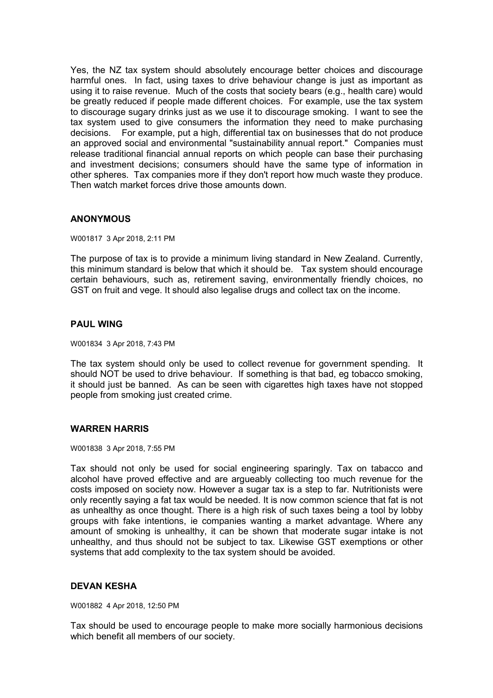Yes, the NZ tax system should absolutely encourage better choices and discourage harmful ones. In fact, using taxes to drive behaviour change is just as important as using it to raise revenue. Much of the costs that society bears (e.g., health care) would be greatly reduced if people made different choices. For example, use the tax system to discourage sugary drinks just as we use it to discourage smoking. I want to see the tax system used to give consumers the information they need to make purchasing decisions. For example, put a high, differential tax on businesses that do not produce an approved social and environmental "sustainability annual report." Companies must release traditional financial annual reports on which people can base their purchasing and investment decisions; consumers should have the same type of information in other spheres. Tax companies more if they don't report how much waste they produce. Then watch market forces drive those amounts down.

# **ANONYMOUS**

W001817 3 Apr 2018, 2:11 PM

The purpose of tax is to provide a minimum living standard in New Zealand. Currently, this minimum standard is below that which it should be. Tax system should encourage certain behaviours, such as, retirement saving, environmentally friendly choices, no GST on fruit and vege. It should also legalise drugs and collect tax on the income.

# **PAUL WING**

W001834 3 Apr 2018, 7:43 PM

The tax system should only be used to collect revenue for government spending. It should NOT be used to drive behaviour. If something is that bad, eg tobacco smoking, it should just be banned. As can be seen with cigarettes high taxes have not stopped people from smoking just created crime.

# **WARREN HARRIS**

W001838 3 Apr 2018, 7:55 PM

Tax should not only be used for social engineering sparingly. Tax on tabacco and alcohol have proved effective and are argueably collecting too much revenue for the costs imposed on society now. However a sugar tax is a step to far. Nutritionists were only recently saying a fat tax would be needed. It is now common science that fat is not as unhealthy as once thought. There is a high risk of such taxes being a tool by lobby groups with fake intentions, ie companies wanting a market advantage. Where any amount of smoking is unhealthy, it can be shown that moderate sugar intake is not unhealthy, and thus should not be subject to tax. Likewise GST exemptions or other systems that add complexity to the tax system should be avoided.

# **DEVAN KESHA**

W001882 4 Apr 2018, 12:50 PM

Tax should be used to encourage people to make more socially harmonious decisions which benefit all members of our society.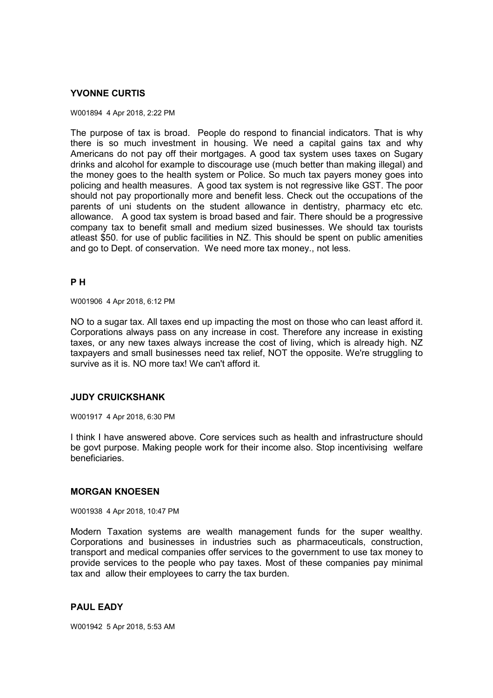# **YVONNE CURTIS**

#### W001894 4 Apr 2018, 2:22 PM

The purpose of tax is broad. People do respond to financial indicators. That is why there is so much investment in housing. We need a capital gains tax and why Americans do not pay off their mortgages. A good tax system uses taxes on Sugary drinks and alcohol for example to discourage use (much better than making illegal) and the money goes to the health system or Police. So much tax payers money goes into policing and health measures. A good tax system is not regressive like GST. The poor should not pay proportionally more and benefit less. Check out the occupations of the parents of uni students on the student allowance in dentistry, pharmacy etc etc. allowance. A good tax system is broad based and fair. There should be a progressive company tax to benefit small and medium sized businesses. We should tax tourists atleast \$50. for use of public facilities in NZ. This should be spent on public amenities and go to Dept. of conservation. We need more tax money., not less.

# **P H**

W001906 4 Apr 2018, 6:12 PM

NO to a sugar tax. All taxes end up impacting the most on those who can least afford it. Corporations always pass on any increase in cost. Therefore any increase in existing taxes, or any new taxes always increase the cost of living, which is already high. NZ taxpayers and small businesses need tax relief, NOT the opposite. We're struggling to survive as it is. NO more tax! We can't afford it.

# **JUDY CRUICKSHANK**

W001917 4 Apr 2018, 6:30 PM

I think I have answered above. Core services such as health and infrastructure should be govt purpose. Making people work for their income also. Stop incentivising welfare beneficiaries.

# **MORGAN KNOESEN**

W001938 4 Apr 2018, 10:47 PM

Modern Taxation systems are wealth management funds for the super wealthy. Corporations and businesses in industries such as pharmaceuticals, construction, transport and medical companies offer services to the government to use tax money to provide services to the people who pay taxes. Most of these companies pay minimal tax and allow their employees to carry the tax burden.

# **PAUL EADY**

W001942 5 Apr 2018, 5:53 AM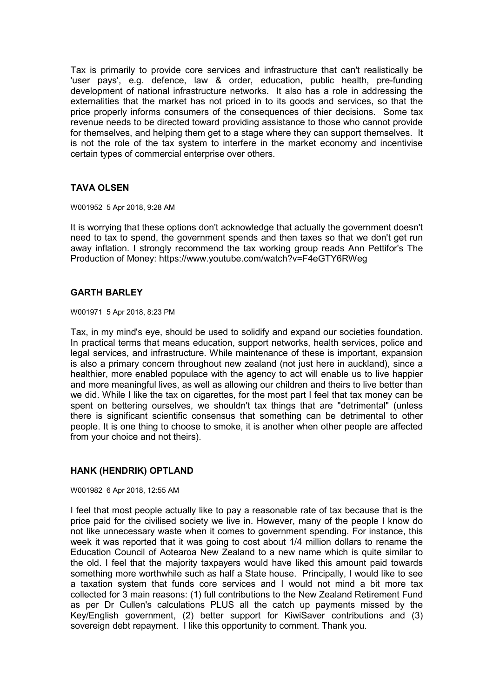Tax is primarily to provide core services and infrastructure that can't realistically be 'user pays', e.g. defence, law & order, education, public health, pre-funding development of national infrastructure networks. It also has a role in addressing the externalities that the market has not priced in to its goods and services, so that the price properly informs consumers of the consequences of thier decisions. Some tax revenue needs to be directed toward providing assistance to those who cannot provide for themselves, and helping them get to a stage where they can support themselves. It is not the role of the tax system to interfere in the market economy and incentivise certain types of commercial enterprise over others.

# **TAVA OLSEN**

W001952 5 Apr 2018, 9:28 AM

It is worrying that these options don't acknowledge that actually the government doesn't need to tax to spend, the government spends and then taxes so that we don't get run away inflation. I strongly recommend the tax working group reads Ann Pettifor's The Production of Money: https://www.youtube.com/watch?v=F4eGTY6RWeg

# **GARTH BARLEY**

W001971 5 Apr 2018, 8:23 PM

Tax, in my mind's eye, should be used to solidify and expand our societies foundation. In practical terms that means education, support networks, health services, police and legal services, and infrastructure. While maintenance of these is important, expansion is also a primary concern throughout new zealand (not just here in auckland), since a healthier, more enabled populace with the agency to act will enable us to live happier and more meaningful lives, as well as allowing our children and theirs to live better than we did. While I like the tax on cigarettes, for the most part I feel that tax money can be spent on bettering ourselves, we shouldn't tax things that are "detrimental" (unless there is significant scientific consensus that something can be detrimental to other people. It is one thing to choose to smoke, it is another when other people are affected from your choice and not theirs).

# **HANK (HENDRIK) OPTLAND**

W001982 6 Apr 2018, 12:55 AM

I feel that most people actually like to pay a reasonable rate of tax because that is the price paid for the civilised society we live in. However, many of the people I know do not like unnecessary waste when it comes to government spending. For instance, this week it was reported that it was going to cost about 1/4 million dollars to rename the Education Council of Aotearoa New Zealand to a new name which is quite similar to the old. I feel that the majority taxpayers would have liked this amount paid towards something more worthwhile such as half a State house. Principally, I would like to see a taxation system that funds core services and I would not mind a bit more tax collected for 3 main reasons: (1) full contributions to the New Zealand Retirement Fund as per Dr Cullen's calculations PLUS all the catch up payments missed by the Key/English government, (2) better support for KiwiSaver contributions and (3) sovereign debt repayment. I like this opportunity to comment. Thank you.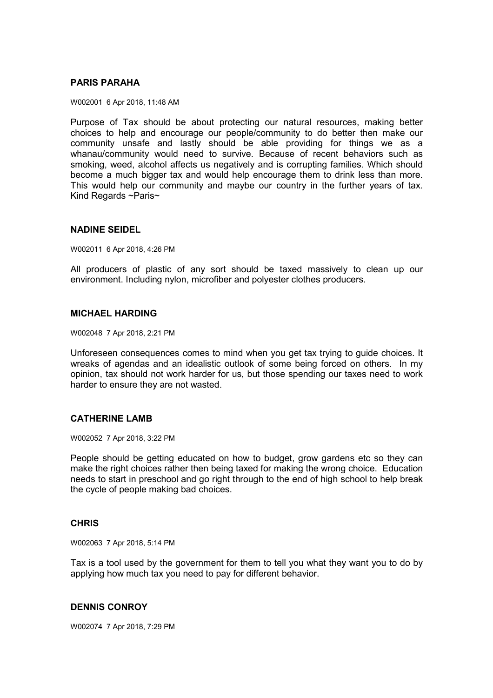# **PARIS PARAHA**

W002001 6 Apr 2018, 11:48 AM

Purpose of Tax should be about protecting our natural resources, making better choices to help and encourage our people/community to do better then make our community unsafe and lastly should be able providing for things we as a whanau/community would need to survive. Because of recent behaviors such as smoking, weed, alcohol affects us negatively and is corrupting families. Which should become a much bigger tax and would help encourage them to drink less than more. This would help our community and maybe our country in the further years of tax. Kind Regards ~Paris~

### **NADINE SEIDEL**

W002011 6 Apr 2018, 4:26 PM

All producers of plastic of any sort should be taxed massively to clean up our environment. Including nylon, microfiber and polyester clothes producers.

# **MICHAEL HARDING**

W002048 7 Apr 2018, 2:21 PM

Unforeseen consequences comes to mind when you get tax trying to guide choices. It wreaks of agendas and an idealistic outlook of some being forced on others. In my opinion, tax should not work harder for us, but those spending our taxes need to work harder to ensure they are not wasted.

# **CATHERINE LAMB**

W002052 7 Apr 2018, 3:22 PM

People should be getting educated on how to budget, grow gardens etc so they can make the right choices rather then being taxed for making the wrong choice. Education needs to start in preschool and go right through to the end of high school to help break the cycle of people making bad choices.

#### **CHRIS**

W002063 7 Apr 2018, 5:14 PM

Tax is a tool used by the government for them to tell you what they want you to do by applying how much tax you need to pay for different behavior.

#### **DENNIS CONROY**

W002074 7 Apr 2018, 7:29 PM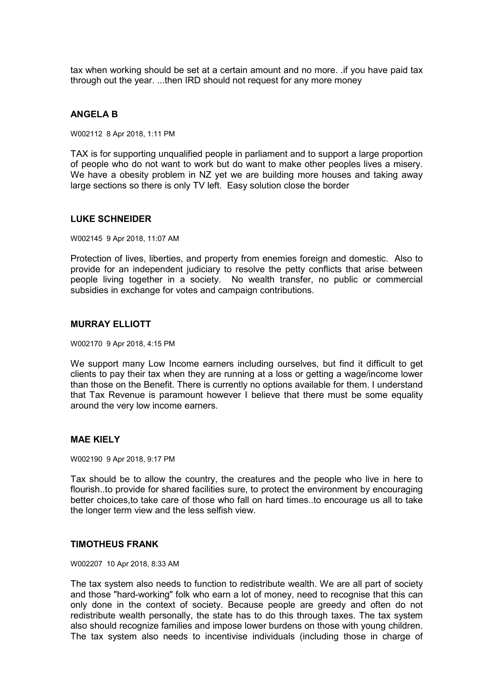tax when working should be set at a certain amount and no more. .if you have paid tax through out the year. ...then IRD should not request for any more money

# **ANGELA B**

W002112 8 Apr 2018, 1:11 PM

TAX is for supporting unqualified people in parliament and to support a large proportion of people who do not want to work but do want to make other peoples lives a misery. We have a obesity problem in NZ yet we are building more houses and taking away large sections so there is only TV left. Easy solution close the border

# **LUKE SCHNEIDER**

W002145 9 Apr 2018, 11:07 AM

Protection of lives, liberties, and property from enemies foreign and domestic. Also to provide for an independent judiciary to resolve the petty conflicts that arise between people living together in a society. No wealth transfer, no public or commercial subsidies in exchange for votes and campaign contributions.

# **MURRAY ELLIOTT**

W002170 9 Apr 2018, 4:15 PM

We support many Low Income earners including ourselves, but find it difficult to get clients to pay their tax when they are running at a loss or getting a wage/income lower than those on the Benefit. There is currently no options available for them. I understand that Tax Revenue is paramount however I believe that there must be some equality around the very low income earners.

# **MAE KIELY**

W002190 9 Apr 2018, 9:17 PM

Tax should be to allow the country, the creatures and the people who live in here to flourish..to provide for shared facilities sure, to protect the environment by encouraging better choices,to take care of those who fall on hard times..to encourage us all to take the longer term view and the less selfish view.

# **TIMOTHEUS FRANK**

W002207 10 Apr 2018, 8:33 AM

The tax system also needs to function to redistribute wealth. We are all part of society and those "hard-working" folk who earn a lot of money, need to recognise that this can only done in the context of society. Because people are greedy and often do not redistribute wealth personally, the state has to do this through taxes. The tax system also should recognize families and impose lower burdens on those with young children. The tax system also needs to incentivise individuals (including those in charge of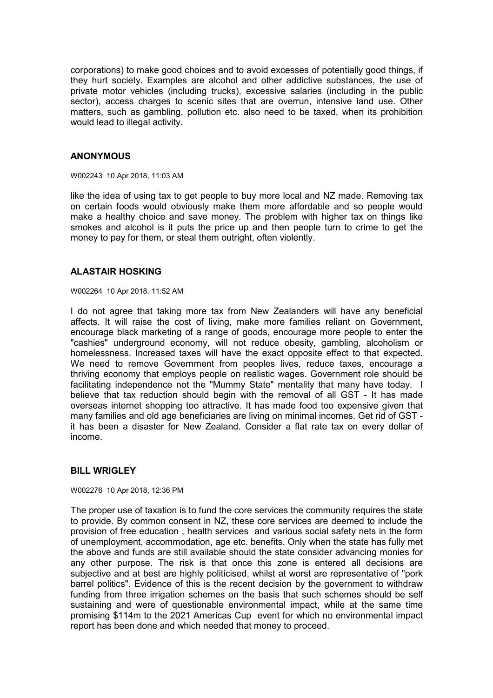corporations) to make good choices and to avoid excesses of potentially good things, if they hurt society. Examples are alcohol and other addictive substances, the use of private motor vehicles (including trucks), excessive salaries (including in the public sector), access charges to scenic sites that are overrun, intensive land use. Other matters, such as gambling, pollution etc. also need to be taxed, when its prohibition would lead to illegal activity.

# **ANONYMOUS**

W002243 10 Apr 2018, 11:03 AM

like the idea of using tax to get people to buy more local and NZ made. Removing tax on certain foods would obviously make them more affordable and so people would make a healthy choice and save money. The problem with higher tax on things like smokes and alcohol is it puts the price up and then people turn to crime to get the money to pay for them, or steal them outright, often violently.

# **ALASTAIR HOSKING**

W002264 10 Apr 2018, 11:52 AM

I do not agree that taking more tax from New Zealanders will have any beneficial affects. It will raise the cost of living, make more families reliant on Government, encourage black marketing of a range of goods, encourage more people to enter the "cashies" underground economy, will not reduce obesity, gambling, alcoholism or homelessness. Increased taxes will have the exact opposite effect to that expected. We need to remove Government from peoples lives, reduce taxes, encourage a thriving economy that employs people on realistic wages. Government role should be facilitating independence not the "Mummy State" mentality that many have today. I believe that tax reduction should begin with the removal of all GST - It has made overseas internet shopping too attractive. It has made food too expensive given that many families and old age beneficiaries are living on minimal incomes. Get rid of GST it has been a disaster for New Zealand. Consider a flat rate tax on every dollar of income.

# **BILL WRIGLEY**

W002276 10 Apr 2018, 12:36 PM

The proper use of taxation is to fund the core services the community requires the state to provide. By common consent in NZ, these core services are deemed to include the provision of free education , health services and various social safety nets in the form of unemployment, accommodation, age etc. benefits. Only when the state has fully met the above and funds are still available should the state consider advancing monies for any other purpose. The risk is that once this zone is entered all decisions are subjective and at best are highly politicised, whilst at worst are representative of "pork barrel politics". Evidence of this is the recent decision by the government to withdraw funding from three irrigation schemes on the basis that such schemes should be self sustaining and were of questionable environmental impact, while at the same time promising \$114m to the 2021 Americas Cup event for which no environmental impact report has been done and which needed that money to proceed.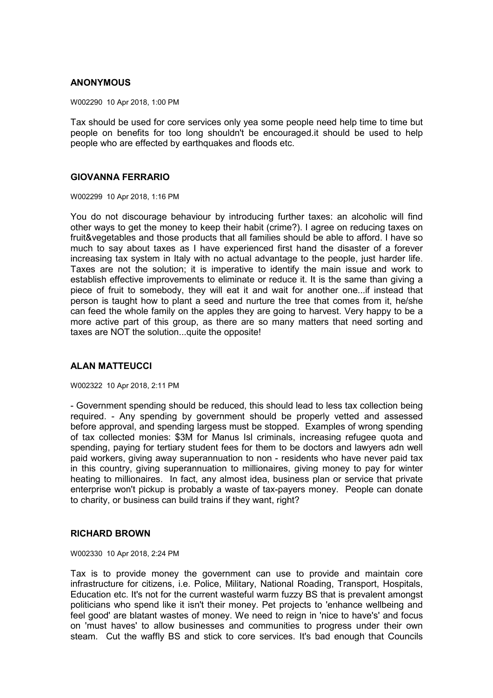# **ANONYMOUS**

W002290 10 Apr 2018, 1:00 PM

Tax should be used for core services only yea some people need help time to time but people on benefits for too long shouldn't be encouraged.it should be used to help people who are effected by earthquakes and floods etc.

# **GIOVANNA FERRARIO**

W002299 10 Apr 2018, 1:16 PM

You do not discourage behaviour by introducing further taxes: an alcoholic will find other ways to get the money to keep their habit (crime?). I agree on reducing taxes on fruit&vegetables and those products that all families should be able to afford. I have so much to say about taxes as I have experienced first hand the disaster of a forever increasing tax system in Italy with no actual advantage to the people, just harder life. Taxes are not the solution; it is imperative to identify the main issue and work to establish effective improvements to eliminate or reduce it. It is the same than giving a piece of fruit to somebody, they will eat it and wait for another one...if instead that person is taught how to plant a seed and nurture the tree that comes from it, he/she can feed the whole family on the apples they are going to harvest. Very happy to be a more active part of this group, as there are so many matters that need sorting and taxes are NOT the solution...quite the opposite!

# **ALAN MATTEUCCI**

W002322 10 Apr 2018, 2:11 PM

- Government spending should be reduced, this should lead to less tax collection being required. - Any spending by government should be properly vetted and assessed before approval, and spending largess must be stopped. Examples of wrong spending of tax collected monies: \$3M for Manus Isl criminals, increasing refugee quota and spending, paying for tertiary student fees for them to be doctors and lawyers adn well paid workers, giving away superannuation to non - residents who have never paid tax in this country, giving superannuation to millionaires, giving money to pay for winter heating to millionaires. In fact, any almost idea, business plan or service that private enterprise won't pickup is probably a waste of tax-payers money. People can donate to charity, or business can build trains if they want, right?

# **RICHARD BROWN**

W002330 10 Apr 2018, 2:24 PM

Tax is to provide money the government can use to provide and maintain core infrastructure for citizens, i.e. Police, Military, National Roading, Transport, Hospitals, Education etc. It's not for the current wasteful warm fuzzy BS that is prevalent amongst politicians who spend like it isn't their money. Pet projects to 'enhance wellbeing and feel good' are blatant wastes of money. We need to reign in 'nice to have's' and focus on 'must haves' to allow businesses and communities to progress under their own steam. Cut the waffly BS and stick to core services. It's bad enough that Councils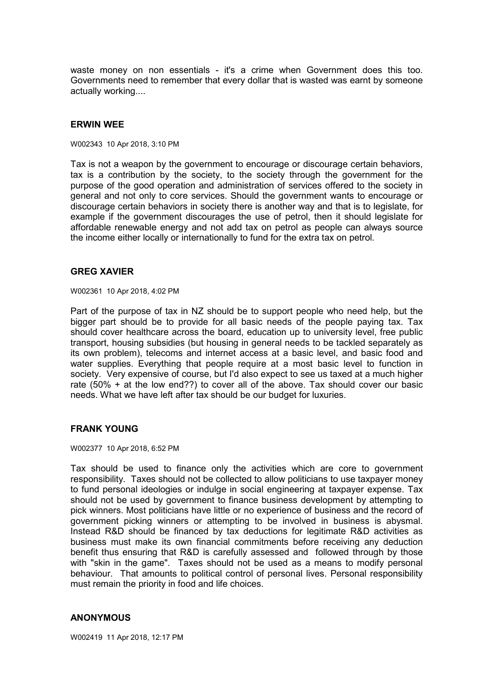waste money on non essentials - it's a crime when Government does this too. Governments need to remember that every dollar that is wasted was earnt by someone actually working....

# **ERWIN WEE**

W002343 10 Apr 2018, 3:10 PM

Tax is not a weapon by the government to encourage or discourage certain behaviors, tax is a contribution by the society, to the society through the government for the purpose of the good operation and administration of services offered to the society in general and not only to core services. Should the government wants to encourage or discourage certain behaviors in society there is another way and that is to legislate, for example if the government discourages the use of petrol, then it should legislate for affordable renewable energy and not add tax on petrol as people can always source the income either locally or internationally to fund for the extra tax on petrol.

#### **GREG XAVIER**

W002361 10 Apr 2018, 4:02 PM

Part of the purpose of tax in NZ should be to support people who need help, but the bigger part should be to provide for all basic needs of the people paying tax. Tax should cover healthcare across the board, education up to university level, free public transport, housing subsidies (but housing in general needs to be tackled separately as its own problem), telecoms and internet access at a basic level, and basic food and water supplies. Everything that people require at a most basic level to function in society. Very expensive of course, but I'd also expect to see us taxed at a much higher rate (50% + at the low end??) to cover all of the above. Tax should cover our basic needs. What we have left after tax should be our budget for luxuries.

### **FRANK YOUNG**

W002377 10 Apr 2018, 6:52 PM

Tax should be used to finance only the activities which are core to government responsibility. Taxes should not be collected to allow politicians to use taxpayer money to fund personal ideologies or indulge in social engineering at taxpayer expense. Tax should not be used by government to finance business development by attempting to pick winners. Most politicians have little or no experience of business and the record of government picking winners or attempting to be involved in business is abysmal. Instead R&D should be financed by tax deductions for legitimate R&D activities as business must make its own financial commitments before receiving any deduction benefit thus ensuring that R&D is carefully assessed and followed through by those with "skin in the game". Taxes should not be used as a means to modify personal behaviour. That amounts to political control of personal lives. Personal responsibility must remain the priority in food and life choices.

#### **ANONYMOUS**

W002419 11 Apr 2018, 12:17 PM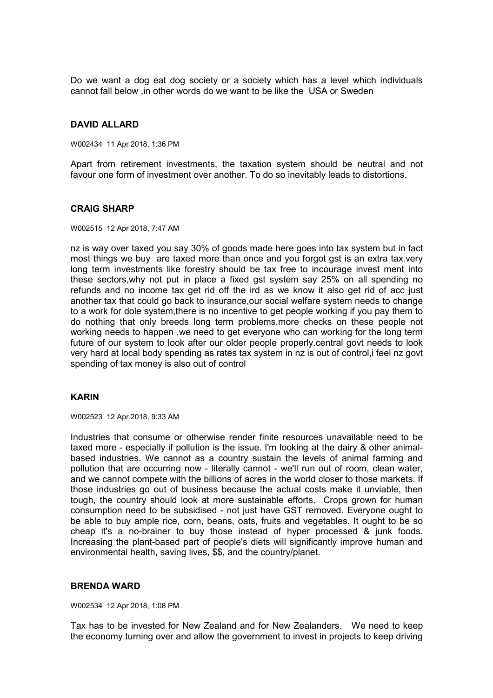Do we want a dog eat dog society or a society which has a level which individuals cannot fall below ,in other words do we want to be like the USA or Sweden

# **DAVID ALLARD**

W002434 11 Apr 2018, 1:36 PM

Apart from retirement investments, the taxation system should be neutral and not favour one form of investment over another. To do so inevitably leads to distortions.

### **CRAIG SHARP**

W002515 12 Apr 2018, 7:47 AM

nz is way over taxed you say 30% of goods made here goes into tax system but in fact most things we buy are taxed more than once and you forgot gst is an extra tax.very long term investments like forestry should be tax free to incourage invest ment into these sectors,why not put in place a fixed gst system say 25% on all spending no refunds and no income tax get rid off the ird as we know it also get rid of acc just another tax that could go back to insurance,our social welfare system needs to change to a work for dole system,there is no incentive to get people working if you pay them to do nothing that only breeds long term problems.more checks on these people not working needs to happen ,we need to get everyone who can working for the long term future of our system to look after our older people properly.central govt needs to look very hard at local body spending as rates tax system in nz is out of control,i feel nz govt spending of tax money is also out of control

# **KARIN**

W002523 12 Apr 2018, 9:33 AM

Industries that consume or otherwise render finite resources unavailable need to be taxed more - especially if pollution is the issue. I'm looking at the dairy & other animalbased industries. We cannot as a country sustain the levels of animal farming and pollution that are occurring now - literally cannot - we'll run out of room, clean water, and we cannot compete with the billions of acres in the world closer to those markets. If those industries go out of business because the actual costs make it unviable, then tough, the country should look at more sustainable efforts. Crops grown for human consumption need to be subsidised - not just have GST removed. Everyone ought to be able to buy ample rice, corn, beans, oats, fruits and vegetables. It ought to be so cheap it's a no-brainer to buy those instead of hyper processed & junk foods. Increasing the plant-based part of people's diets will significantly improve human and environmental health, saving lives, \$\$, and the country/planet.

#### **BRENDA WARD**

W002534 12 Apr 2018, 1:08 PM

Tax has to be invested for New Zealand and for New Zealanders. We need to keep the economy turning over and allow the government to invest in projects to keep driving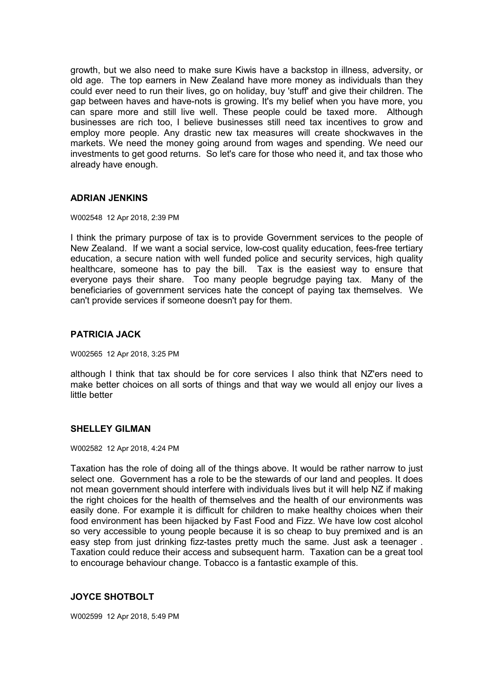growth, but we also need to make sure Kiwis have a backstop in illness, adversity, or old age. The top earners in New Zealand have more money as individuals than they could ever need to run their lives, go on holiday, buy 'stuff' and give their children. The gap between haves and have-nots is growing. It's my belief when you have more, you can spare more and still live well. These people could be taxed more. Although businesses are rich too, I believe businesses still need tax incentives to grow and employ more people. Any drastic new tax measures will create shockwaves in the markets. We need the money going around from wages and spending. We need our investments to get good returns. So let's care for those who need it, and tax those who already have enough.

# **ADRIAN JENKINS**

#### W002548 12 Apr 2018, 2:39 PM

I think the primary purpose of tax is to provide Government services to the people of New Zealand. If we want a social service, low-cost quality education, fees-free tertiary education, a secure nation with well funded police and security services, high quality healthcare, someone has to pay the bill. Tax is the easiest way to ensure that everyone pays their share. Too many people begrudge paying tax. Many of the beneficiaries of government services hate the concept of paying tax themselves. We can't provide services if someone doesn't pay for them.

# **PATRICIA JACK**

W002565 12 Apr 2018, 3:25 PM

although I think that tax should be for core services I also think that NZ'ers need to make better choices on all sorts of things and that way we would all enjoy our lives a little better

# **SHELLEY GILMAN**

W002582 12 Apr 2018, 4:24 PM

Taxation has the role of doing all of the things above. It would be rather narrow to just select one. Government has a role to be the stewards of our land and peoples. It does not mean government should interfere with individuals lives but it will help NZ if making the right choices for the health of themselves and the health of our environments was easily done. For example it is difficult for children to make healthy choices when their food environment has been hijacked by Fast Food and Fizz. We have low cost alcohol so very accessible to young people because it is so cheap to buy premixed and is an easy step from just drinking fizz-tastes pretty much the same. Just ask a teenager . Taxation could reduce their access and subsequent harm. Taxation can be a great tool to encourage behaviour change. Tobacco is a fantastic example of this.

# **JOYCE SHOTBOLT**

W002599 12 Apr 2018, 5:49 PM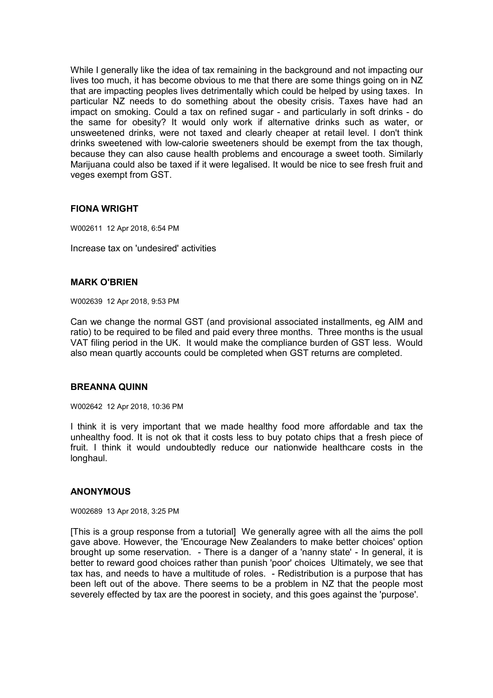While I generally like the idea of tax remaining in the background and not impacting our lives too much, it has become obvious to me that there are some things going on in NZ that are impacting peoples lives detrimentally which could be helped by using taxes. In particular NZ needs to do something about the obesity crisis. Taxes have had an impact on smoking. Could a tax on refined sugar - and particularly in soft drinks - do the same for obesity? It would only work if alternative drinks such as water, or unsweetened drinks, were not taxed and clearly cheaper at retail level. I don't think drinks sweetened with low-calorie sweeteners should be exempt from the tax though, because they can also cause health problems and encourage a sweet tooth. Similarly Marijuana could also be taxed if it were legalised. It would be nice to see fresh fruit and veges exempt from GST.

# **FIONA WRIGHT**

W002611 12 Apr 2018, 6:54 PM

Increase tax on 'undesired' activities

# **MARK O'BRIEN**

W002639 12 Apr 2018, 9:53 PM

Can we change the normal GST (and provisional associated installments, eg AIM and ratio) to be required to be filed and paid every three months. Three months is the usual VAT filing period in the UK. It would make the compliance burden of GST less. Would also mean quartly accounts could be completed when GST returns are completed.

#### **BREANNA QUINN**

W002642 12 Apr 2018, 10:36 PM

I think it is very important that we made healthy food more affordable and tax the unhealthy food. It is not ok that it costs less to buy potato chips that a fresh piece of fruit. I think it would undoubtedly reduce our nationwide healthcare costs in the longhaul.

# **ANONYMOUS**

W002689 13 Apr 2018, 3:25 PM

[This is a group response from a tutorial] We generally agree with all the aims the poll gave above. However, the 'Encourage New Zealanders to make better choices' option brought up some reservation. - There is a danger of a 'nanny state' - In general, it is better to reward good choices rather than punish 'poor' choices Ultimately, we see that tax has, and needs to have a multitude of roles. - Redistribution is a purpose that has been left out of the above. There seems to be a problem in NZ that the people most severely effected by tax are the poorest in society, and this goes against the 'purpose'.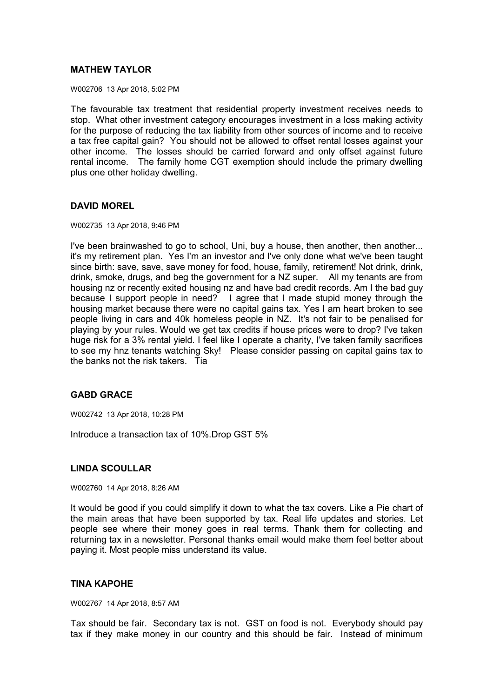# **MATHEW TAYLOR**

W002706 13 Apr 2018, 5:02 PM

The favourable tax treatment that residential property investment receives needs to stop. What other investment category encourages investment in a loss making activity for the purpose of reducing the tax liability from other sources of income and to receive a tax free capital gain? You should not be allowed to offset rental losses against your other income. The losses should be carried forward and only offset against future rental income. The family home CGT exemption should include the primary dwelling plus one other holiday dwelling.

# **DAVID MOREL**

W002735 13 Apr 2018, 9:46 PM

I've been brainwashed to go to school, Uni, buy a house, then another, then another... it's my retirement plan. Yes I'm an investor and I've only done what we've been taught since birth: save, save, save money for food, house, family, retirement! Not drink, drink, drink, smoke, drugs, and beg the government for a NZ super. All my tenants are from housing nz or recently exited housing nz and have bad credit records. Am I the bad guy because I support people in need? I agree that I made stupid money through the housing market because there were no capital gains tax. Yes I am heart broken to see people living in cars and 40k homeless people in NZ. It's not fair to be penalised for playing by your rules. Would we get tax credits if house prices were to drop? I've taken huge risk for a 3% rental yield. I feel like I operate a charity, I've taken family sacrifices to see my hnz tenants watching Sky! Please consider passing on capital gains tax to the banks not the risk takers. Tia

# **GABD GRACE**

W002742 13 Apr 2018, 10:28 PM

Introduce a transaction tax of 10%.Drop GST 5%

# **LINDA SCOULLAR**

W002760 14 Apr 2018, 8:26 AM

It would be good if you could simplify it down to what the tax covers. Like a Pie chart of the main areas that have been supported by tax. Real life updates and stories. Let people see where their money goes in real terms. Thank them for collecting and returning tax in a newsletter. Personal thanks email would make them feel better about paying it. Most people miss understand its value.

# **TINA KAPOHE**

W002767 14 Apr 2018, 8:57 AM

Tax should be fair. Secondary tax is not. GST on food is not. Everybody should pay tax if they make money in our country and this should be fair. Instead of minimum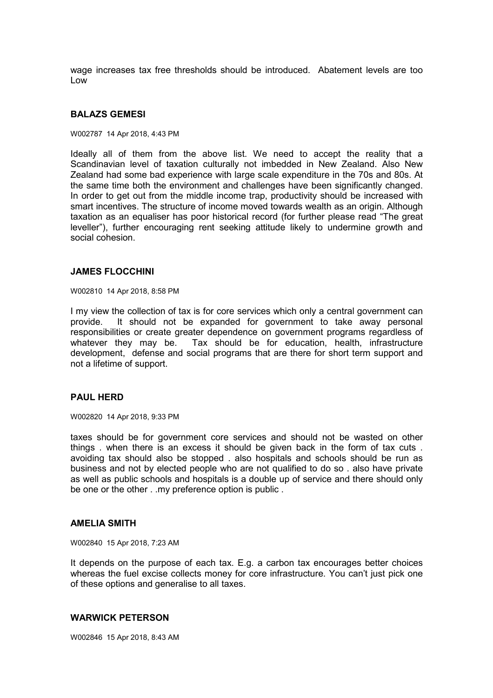wage increases tax free thresholds should be introduced. Abatement levels are too Low

#### **BALAZS GEMESI**

#### W002787 14 Apr 2018, 4:43 PM

Ideally all of them from the above list. We need to accept the reality that a Scandinavian level of taxation culturally not imbedded in New Zealand. Also New Zealand had some bad experience with large scale expenditure in the 70s and 80s. At the same time both the environment and challenges have been significantly changed. In order to get out from the middle income trap, productivity should be increased with smart incentives. The structure of income moved towards wealth as an origin. Although taxation as an equaliser has poor historical record (for further please read "The great leveller"), further encouraging rent seeking attitude likely to undermine growth and social cohesion.

#### **JAMES FLOCCHINI**

W002810 14 Apr 2018, 8:58 PM

I my view the collection of tax is for core services which only a central government can provide. It should not be expanded for government to take away personal responsibilities or create greater dependence on government programs regardless of whatever they may be. Tax should be for education, health, infrastructure development, defense and social programs that are there for short term support and not a lifetime of support.

### **PAUL HERD**

W002820 14 Apr 2018, 9:33 PM

taxes should be for government core services and should not be wasted on other things . when there is an excess it should be given back in the form of tax cuts . avoiding tax should also be stopped . also hospitals and schools should be run as business and not by elected people who are not qualified to do so . also have private as well as public schools and hospitals is a double up of service and there should only be one or the other . .my preference option is public .

#### **AMELIA SMITH**

W002840 15 Apr 2018, 7:23 AM

It depends on the purpose of each tax. E.g. a carbon tax encourages better choices whereas the fuel excise collects money for core infrastructure. You can't just pick one of these options and generalise to all taxes.

#### **WARWICK PETERSON**

W002846 15 Apr 2018, 8:43 AM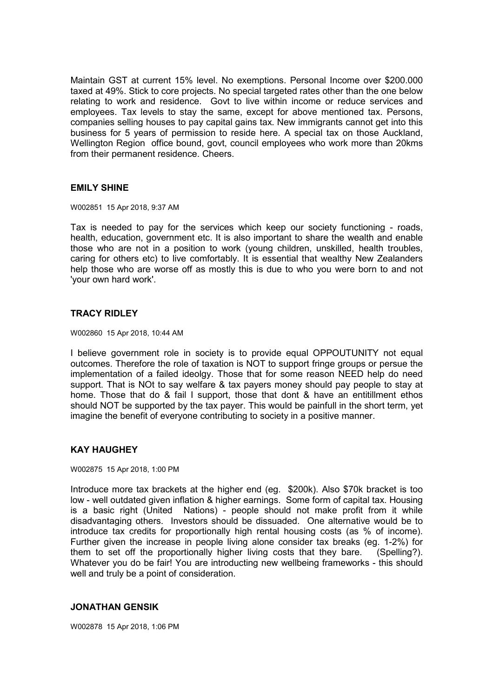Maintain GST at current 15% level. No exemptions. Personal Income over \$200.000 taxed at 49%. Stick to core projects. No special targeted rates other than the one below relating to work and residence. Govt to live within income or reduce services and employees. Tax levels to stay the same, except for above mentioned tax. Persons, companies selling houses to pay capital gains tax. New immigrants cannot get into this business for 5 years of permission to reside here. A special tax on those Auckland, Wellington Region office bound, govt, council employees who work more than 20kms from their permanent residence. Cheers.

# **EMILY SHINE**

W002851 15 Apr 2018, 9:37 AM

Tax is needed to pay for the services which keep our society functioning - roads, health, education, government etc. It is also important to share the wealth and enable those who are not in a position to work (young children, unskilled, health troubles, caring for others etc) to live comfortably. It is essential that wealthy New Zealanders help those who are worse off as mostly this is due to who you were born to and not 'your own hard work'.

# **TRACY RIDLEY**

W002860 15 Apr 2018, 10:44 AM

I believe government role in society is to provide equal OPPOUTUNITY not equal outcomes. Therefore the role of taxation is NOT to support fringe groups or persue the implementation of a failed ideolgy. Those that for some reason NEED help do need support. That is NOt to say welfare & tax payers money should pay people to stay at home. Those that do & fail I support, those that dont & have an entitillment ethos should NOT be supported by the tax payer. This would be painfull in the short term, yet imagine the benefit of everyone contributing to society in a positive manner.

# **KAY HAUGHEY**

W002875 15 Apr 2018, 1:00 PM

Introduce more tax brackets at the higher end (eg. \$200k). Also \$70k bracket is too low - well outdated given inflation & higher earnings. Some form of capital tax. Housing is a basic right (United Nations) - people should not make profit from it while disadvantaging others. Investors should be dissuaded. One alternative would be to introduce tax credits for proportionally high rental housing costs (as % of income). Further given the increase in people living alone consider tax breaks (eg. 1-2%) for them to set off the proportionally higher living costs that they bare. (Spelling?). Whatever you do be fair! You are introducting new wellbeing frameworks - this should well and truly be a point of consideration.

# **JONATHAN GENSIK**

W002878 15 Apr 2018, 1:06 PM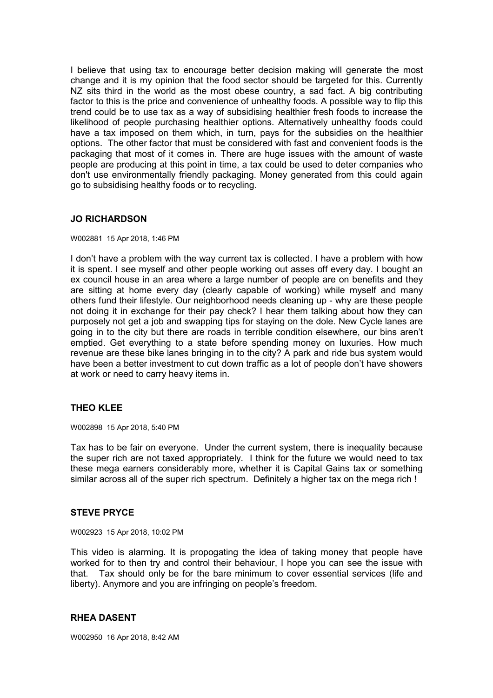I believe that using tax to encourage better decision making will generate the most change and it is my opinion that the food sector should be targeted for this. Currently NZ sits third in the world as the most obese country, a sad fact. A big contributing factor to this is the price and convenience of unhealthy foods. A possible way to flip this trend could be to use tax as a way of subsidising healthier fresh foods to increase the likelihood of people purchasing healthier options. Alternatively unhealthy foods could have a tax imposed on them which, in turn, pays for the subsidies on the healthier options. The other factor that must be considered with fast and convenient foods is the packaging that most of it comes in. There are huge issues with the amount of waste people are producing at this point in time, a tax could be used to deter companies who don't use environmentally friendly packaging. Money generated from this could again go to subsidising healthy foods or to recycling.

# **JO RICHARDSON**

#### W002881 15 Apr 2018, 1:46 PM

I don't have a problem with the way current tax is collected. I have a problem with how it is spent. I see myself and other people working out asses off every day. I bought an ex council house in an area where a large number of people are on benefits and they are sitting at home every day (clearly capable of working) while myself and many others fund their lifestyle. Our neighborhood needs cleaning up - why are these people not doing it in exchange for their pay check? I hear them talking about how they can purposely not get a job and swapping tips for staying on the dole. New Cycle lanes are going in to the city but there are roads in terrible condition elsewhere, our bins aren't emptied. Get everything to a state before spending money on luxuries. How much revenue are these bike lanes bringing in to the city? A park and ride bus system would have been a better investment to cut down traffic as a lot of people don't have showers at work or need to carry heavy items in.

# **THEO KLEE**

W002898 15 Apr 2018, 5:40 PM

Tax has to be fair on everyone. Under the current system, there is inequality because the super rich are not taxed appropriately. I think for the future we would need to tax these mega earners considerably more, whether it is Capital Gains tax or something similar across all of the super rich spectrum. Definitely a higher tax on the mega rich !

# **STEVE PRYCE**

W002923 15 Apr 2018, 10:02 PM

This video is alarming. It is propogating the idea of taking money that people have worked for to then try and control their behaviour, I hope you can see the issue with that. Tax should only be for the bare minimum to cover essential services (life and liberty). Anymore and you are infringing on people's freedom.

#### **RHEA DASENT**

W002950 16 Apr 2018, 8:42 AM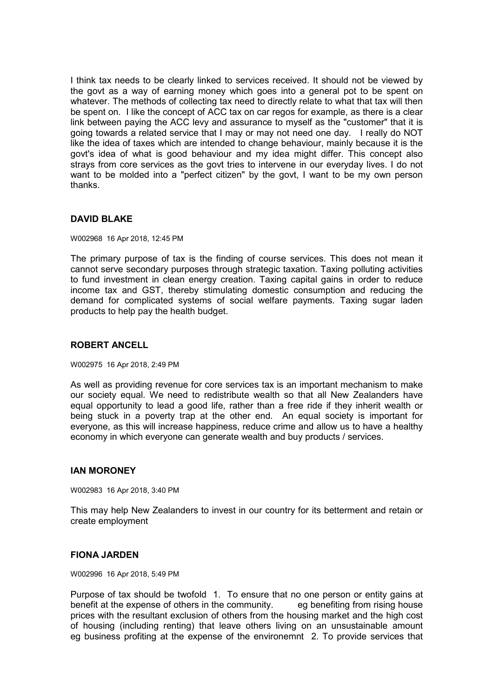I think tax needs to be clearly linked to services received. It should not be viewed by the govt as a way of earning money which goes into a general pot to be spent on whatever. The methods of collecting tax need to directly relate to what that tax will then be spent on. I like the concept of ACC tax on car regos for example, as there is a clear link between paying the ACC levy and assurance to myself as the "customer" that it is going towards a related service that I may or may not need one day. I really do NOT like the idea of taxes which are intended to change behaviour, mainly because it is the govt's idea of what is good behaviour and my idea might differ. This concept also strays from core services as the govt tries to intervene in our everyday lives. I do not want to be molded into a "perfect citizen" by the govt, I want to be my own person thanks.

# **DAVID BLAKE**

W002968 16 Apr 2018, 12:45 PM

The primary purpose of tax is the finding of course services. This does not mean it cannot serve secondary purposes through strategic taxation. Taxing polluting activities to fund investment in clean energy creation. Taxing capital gains in order to reduce income tax and GST, thereby stimulating domestic consumption and reducing the demand for complicated systems of social welfare payments. Taxing sugar laden products to help pay the health budget.

# **ROBERT ANCELL**

W002975 16 Apr 2018, 2:49 PM

As well as providing revenue for core services tax is an important mechanism to make our society equal. We need to redistribute wealth so that all New Zealanders have equal opportunity to lead a good life, rather than a free ride if they inherit wealth or being stuck in a poverty trap at the other end. An equal society is important for everyone, as this will increase happiness, reduce crime and allow us to have a healthy economy in which everyone can generate wealth and buy products / services.

# **IAN MORONEY**

W002983 16 Apr 2018, 3:40 PM

This may help New Zealanders to invest in our country for its betterment and retain or create employment

# **FIONA JARDEN**

W002996 16 Apr 2018, 5:49 PM

Purpose of tax should be twofold 1. To ensure that no one person or entity gains at benefit at the expense of others in the community. eg benefiting from rising house prices with the resultant exclusion of others from the housing market and the high cost of housing (including renting) that leave others living on an unsustainable amount eg business profiting at the expense of the environemnt 2. To provide services that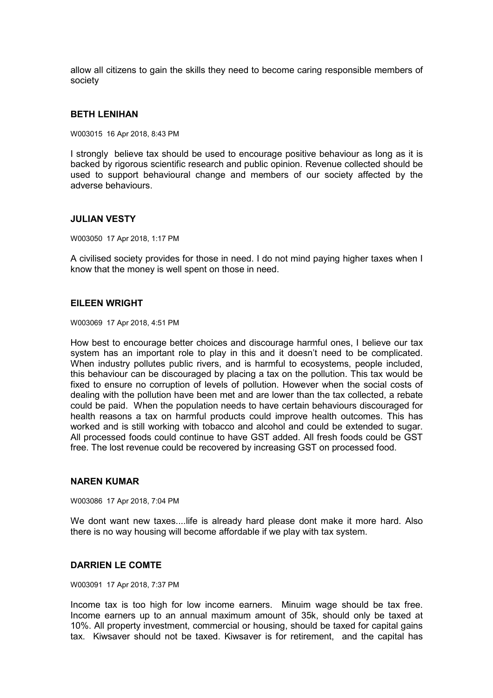allow all citizens to gain the skills they need to become caring responsible members of society

#### **BETH LENIHAN**

W003015 16 Apr 2018, 8:43 PM

I strongly believe tax should be used to encourage positive behaviour as long as it is backed by rigorous scientific research and public opinion. Revenue collected should be used to support behavioural change and members of our society affected by the adverse behaviours.

### **JULIAN VESTY**

W003050 17 Apr 2018, 1:17 PM

A civilised society provides for those in need. I do not mind paying higher taxes when I know that the money is well spent on those in need.

#### **EILEEN WRIGHT**

W003069 17 Apr 2018, 4:51 PM

How best to encourage better choices and discourage harmful ones, I believe our tax system has an important role to play in this and it doesn't need to be complicated. When industry pollutes public rivers, and is harmful to ecosystems, people included, this behaviour can be discouraged by placing a tax on the pollution. This tax would be fixed to ensure no corruption of levels of pollution. However when the social costs of dealing with the pollution have been met and are lower than the tax collected, a rebate could be paid. When the population needs to have certain behaviours discouraged for health reasons a tax on harmful products could improve health outcomes. This has worked and is still working with tobacco and alcohol and could be extended to sugar. All processed foods could continue to have GST added. All fresh foods could be GST free. The lost revenue could be recovered by increasing GST on processed food.

# **NAREN KUMAR**

W003086 17 Apr 2018, 7:04 PM

We dont want new taxes....life is already hard please dont make it more hard. Also there is no way housing will become affordable if we play with tax system.

#### **DARRIEN LE COMTE**

W003091 17 Apr 2018, 7:37 PM

Income tax is too high for low income earners. Minuim wage should be tax free. Income earners up to an annual maximum amount of 35k, should only be taxed at 10%. All property investment, commercial or housing, should be taxed for capital gains tax. Kiwsaver should not be taxed. Kiwsaver is for retirement, and the capital has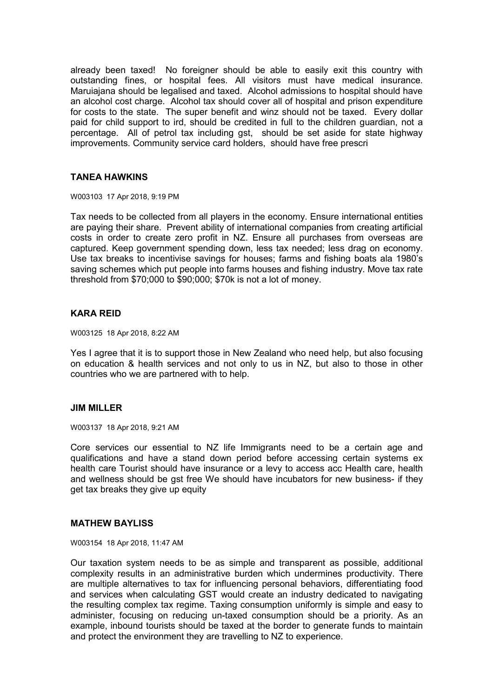already been taxed! No foreigner should be able to easily exit this country with outstanding fines, or hospital fees. All visitors must have medical insurance. Maruiajana should be legalised and taxed. Alcohol admissions to hospital should have an alcohol cost charge. Alcohol tax should cover all of hospital and prison expenditure for costs to the state. The super benefit and winz should not be taxed. Every dollar paid for child support to ird, should be credited in full to the children guardian, not a percentage. All of petrol tax including gst, should be set aside for state highway improvements. Community service card holders, should have free prescri

# **TANEA HAWKINS**

W003103 17 Apr 2018, 9:19 PM

Tax needs to be collected from all players in the economy. Ensure international entities are paying their share. Prevent ability of international companies from creating artificial costs in order to create zero profit in NZ. Ensure all purchases from overseas are captured. Keep government spending down, less tax needed; less drag on economy. Use tax breaks to incentivise savings for houses; farms and fishing boats ala 1980's saving schemes which put people into farms houses and fishing industry. Move tax rate threshold from \$70;000 to \$90;000; \$70k is not a lot of money.

# **KARA REID**

W003125 18 Apr 2018, 8:22 AM

Yes I agree that it is to support those in New Zealand who need help, but also focusing on education & health services and not only to us in NZ, but also to those in other countries who we are partnered with to help.

# **JIM MILLER**

W003137 18 Apr 2018, 9:21 AM

Core services our essential to NZ life Immigrants need to be a certain age and qualifications and have a stand down period before accessing certain systems ex health care Tourist should have insurance or a levy to access acc Health care, health and wellness should be gst free We should have incubators for new business- if they get tax breaks they give up equity

#### **MATHEW BAYLISS**

W003154 18 Apr 2018, 11:47 AM

Our taxation system needs to be as simple and transparent as possible, additional complexity results in an administrative burden which undermines productivity. There are multiple alternatives to tax for influencing personal behaviors, differentiating food and services when calculating GST would create an industry dedicated to navigating the resulting complex tax regime. Taxing consumption uniformly is simple and easy to administer, focusing on reducing un-taxed consumption should be a priority. As an example, inbound tourists should be taxed at the border to generate funds to maintain and protect the environment they are travelling to NZ to experience.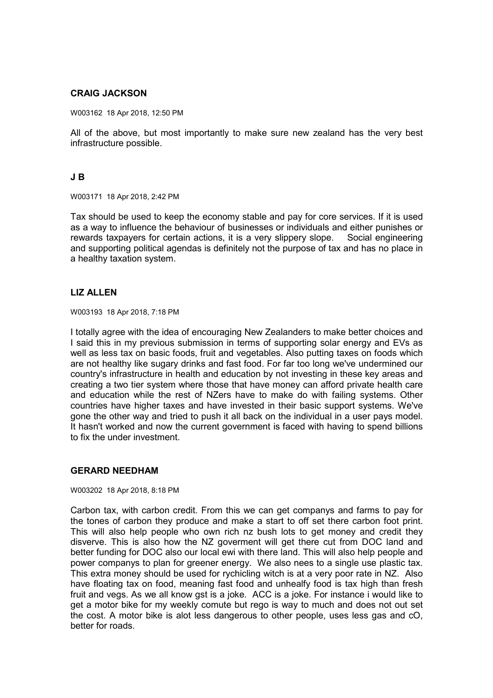# **CRAIG JACKSON**

W003162 18 Apr 2018, 12:50 PM

All of the above, but most importantly to make sure new zealand has the very best infrastructure possible.

# **J B**

W003171 18 Apr 2018, 2:42 PM

Tax should be used to keep the economy stable and pay for core services. If it is used as a way to influence the behaviour of businesses or individuals and either punishes or rewards taxpayers for certain actions, it is a very slippery slope. Social engineering and supporting political agendas is definitely not the purpose of tax and has no place in a healthy taxation system.

# **LIZ ALLEN**

W003193 18 Apr 2018, 7:18 PM

I totally agree with the idea of encouraging New Zealanders to make better choices and I said this in my previous submission in terms of supporting solar energy and EVs as well as less tax on basic foods, fruit and vegetables. Also putting taxes on foods which are not healthy like sugary drinks and fast food. For far too long we've undermined our country's infrastructure in health and education by not investing in these key areas and creating a two tier system where those that have money can afford private health care and education while the rest of NZers have to make do with failing systems. Other countries have higher taxes and have invested in their basic support systems. We've gone the other way and tried to push it all back on the individual in a user pays model. It hasn't worked and now the current government is faced with having to spend billions to fix the under investment.

# **GERARD NEEDHAM**

W003202 18 Apr 2018, 8:18 PM

Carbon tax, with carbon credit. From this we can get companys and farms to pay for the tones of carbon they produce and make a start to off set there carbon foot print. This will also help people who own rich nz bush lots to get money and credit they disverve. This is also how the NZ goverment will get there cut from DOC land and better funding for DOC also our local ewi with there land. This will also help people and power companys to plan for greener energy. We also nees to a single use plastic tax. This extra money should be used for rychicling witch is at a very poor rate in NZ. Also have floating tax on food, meaning fast food and unhealfy food is tax high than fresh fruit and vegs. As we all know gst is a joke. ACC is a joke. For instance i would like to get a motor bike for my weekly comute but rego is way to much and does not out set the cost. A motor bike is alot less dangerous to other people, uses less gas and cO, better for roads.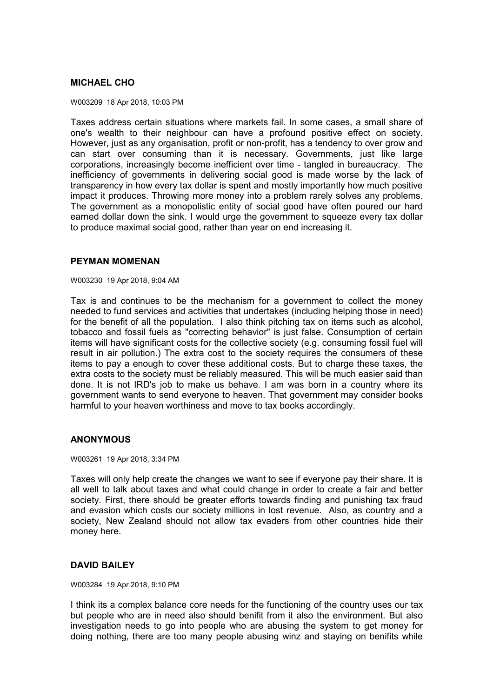# **MICHAEL CHO**

W003209 18 Apr 2018, 10:03 PM

Taxes address certain situations where markets fail. In some cases, a small share of one's wealth to their neighbour can have a profound positive effect on society. However, just as any organisation, profit or non-profit, has a tendency to over grow and can start over consuming than it is necessary. Governments, just like large corporations, increasingly become inefficient over time - tangled in bureaucracy. The inefficiency of governments in delivering social good is made worse by the lack of transparency in how every tax dollar is spent and mostly importantly how much positive impact it produces. Throwing more money into a problem rarely solves any problems. The government as a monopolistic entity of social good have often poured our hard earned dollar down the sink. I would urge the government to squeeze every tax dollar to produce maximal social good, rather than year on end increasing it.

### **PEYMAN MOMENAN**

W003230 19 Apr 2018, 9:04 AM

Tax is and continues to be the mechanism for a government to collect the money needed to fund services and activities that undertakes (including helping those in need) for the benefit of all the population. I also think pitching tax on items such as alcohol, tobacco and fossil fuels as "correcting behavior" is just false. Consumption of certain items will have significant costs for the collective society (e.g. consuming fossil fuel will result in air pollution.) The extra cost to the society requires the consumers of these items to pay a enough to cover these additional costs. But to charge these taxes, the extra costs to the society must be reliably measured. This will be much easier said than done. It is not IRD's job to make us behave. I am was born in a country where its government wants to send everyone to heaven. That government may consider books harmful to your heaven worthiness and move to tax books accordingly.

# **ANONYMOUS**

#### W003261 19 Apr 2018, 3:34 PM

Taxes will only help create the changes we want to see if everyone pay their share. It is all well to talk about taxes and what could change in order to create a fair and better society. First, there should be greater efforts towards finding and punishing tax fraud and evasion which costs our society millions in lost revenue. Also, as country and a society, New Zealand should not allow tax evaders from other countries hide their money here.

# **DAVID BAILEY**

W003284 19 Apr 2018, 9:10 PM

I think its a complex balance core needs for the functioning of the country uses our tax but people who are in need also should benifit from it also the environment. But also investigation needs to go into people who are abusing the system to get money for doing nothing, there are too many people abusing winz and staying on benifits while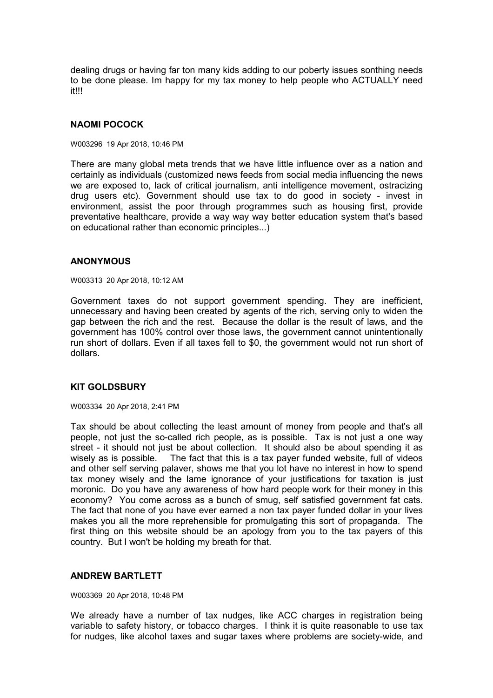dealing drugs or having far ton many kids adding to our poberty issues sonthing needs to be done please. Im happy for my tax money to help people who ACTUALLY need it!!!

# **NAOMI POCOCK**

W003296 19 Apr 2018, 10:46 PM

There are many global meta trends that we have little influence over as a nation and certainly as individuals (customized news feeds from social media influencing the news we are exposed to, lack of critical journalism, anti intelligence movement, ostracizing drug users etc). Government should use tax to do good in society - invest in environment, assist the poor through programmes such as housing first, provide preventative healthcare, provide a way way way better education system that's based on educational rather than economic principles...)

### **ANONYMOUS**

W003313 20 Apr 2018, 10:12 AM

Government taxes do not support government spending. They are inefficient, unnecessary and having been created by agents of the rich, serving only to widen the gap between the rich and the rest. Because the dollar is the result of laws, and the government has 100% control over those laws, the government cannot unintentionally run short of dollars. Even if all taxes fell to \$0, the government would not run short of dollars.

# **KIT GOLDSBURY**

W003334 20 Apr 2018, 2:41 PM

Tax should be about collecting the least amount of money from people and that's all people, not just the so-called rich people, as is possible. Tax is not just a one way street - it should not just be about collection. It should also be about spending it as wisely as is possible. The fact that this is a tax payer funded website, full of videos and other self serving palaver, shows me that you lot have no interest in how to spend tax money wisely and the lame ignorance of your justifications for taxation is just moronic. Do you have any awareness of how hard people work for their money in this economy? You come across as a bunch of smug, self satisfied government fat cats. The fact that none of you have ever earned a non tax payer funded dollar in your lives makes you all the more reprehensible for promulgating this sort of propaganda. The first thing on this website should be an apology from you to the tax payers of this country. But I won't be holding my breath for that.

# **ANDREW BARTLETT**

W003369 20 Apr 2018, 10:48 PM

We already have a number of tax nudges, like ACC charges in registration being variable to safety history, or tobacco charges. I think it is quite reasonable to use tax for nudges, like alcohol taxes and sugar taxes where problems are society-wide, and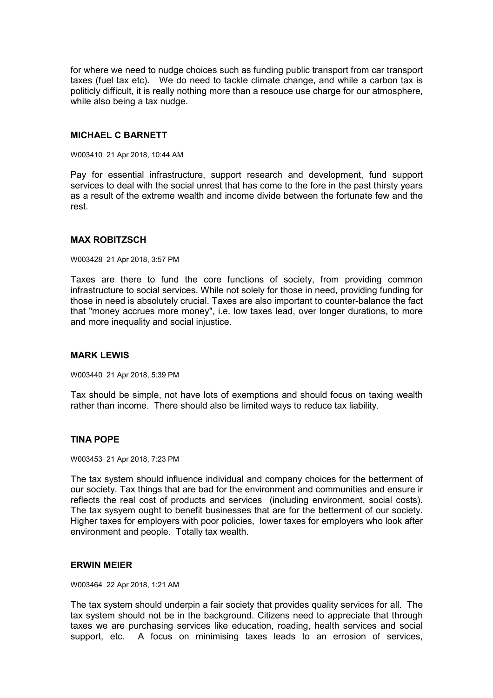for where we need to nudge choices such as funding public transport from car transport taxes (fuel tax etc). We do need to tackle climate change, and while a carbon tax is politicly difficult, it is really nothing more than a resouce use charge for our atmosphere, while also being a tax nudge.

### **MICHAEL C BARNETT**

W003410 21 Apr 2018, 10:44 AM

Pay for essential infrastructure, support research and development, fund support services to deal with the social unrest that has come to the fore in the past thirsty years as a result of the extreme wealth and income divide between the fortunate few and the rest.

### **MAX ROBITZSCH**

W003428 21 Apr 2018, 3:57 PM

Taxes are there to fund the core functions of society, from providing common infrastructure to social services. While not solely for those in need, providing funding for those in need is absolutely crucial. Taxes are also important to counter-balance the fact that "money accrues more money", i.e. low taxes lead, over longer durations, to more and more inequality and social injustice.

# **MARK LEWIS**

W003440 21 Apr 2018, 5:39 PM

Tax should be simple, not have lots of exemptions and should focus on taxing wealth rather than income. There should also be limited ways to reduce tax liability.

# **TINA POPE**

W003453 21 Apr 2018, 7:23 PM

The tax system should influence individual and company choices for the betterment of our society. Tax things that are bad for the environment and communities and ensure ir reflects the real cost of products and services (including environment, social costs). The tax sysyem ought to benefit businesses that are for the betterment of our society. Higher taxes for employers with poor policies, lower taxes for employers who look after environment and people. Totally tax wealth.

#### **ERWIN MEIER**

W003464 22 Apr 2018, 1:21 AM

The tax system should underpin a fair society that provides quality services for all. The tax system should not be in the background. Citizens need to appreciate that through taxes we are purchasing services like education, roading, health services and social support, etc. A focus on minimising taxes leads to an errosion of services,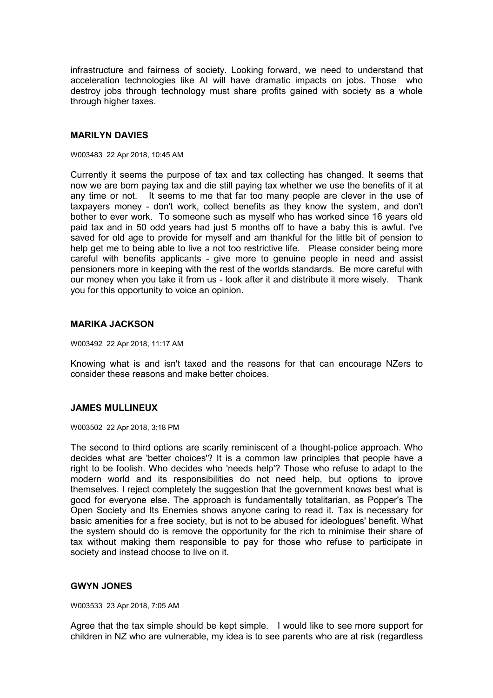infrastructure and fairness of society. Looking forward, we need to understand that acceleration technologies like AI will have dramatic impacts on jobs. Those who destroy jobs through technology must share profits gained with society as a whole through higher taxes.

### **MARILYN DAVIES**

#### W003483 22 Apr 2018, 10:45 AM

Currently it seems the purpose of tax and tax collecting has changed. It seems that now we are born paying tax and die still paying tax whether we use the benefits of it at any time or not. It seems to me that far too many people are clever in the use of taxpayers money - don't work, collect benefits as they know the system, and don't bother to ever work. To someone such as myself who has worked since 16 years old paid tax and in 50 odd years had just 5 months off to have a baby this is awful. I've saved for old age to provide for myself and am thankful for the little bit of pension to help get me to being able to live a not too restrictive life. Please consider being more careful with benefits applicants - give more to genuine people in need and assist pensioners more in keeping with the rest of the worlds standards. Be more careful with our money when you take it from us - look after it and distribute it more wisely. Thank you for this opportunity to voice an opinion.

### **MARIKA JACKSON**

W003492 22 Apr 2018, 11:17 AM

Knowing what is and isn't taxed and the reasons for that can encourage NZers to consider these reasons and make better choices.

# **JAMES MULLINEUX**

W003502 22 Apr 2018, 3:18 PM

The second to third options are scarily reminiscent of a thought-police approach. Who decides what are 'better choices'? It is a common law principles that people have a right to be foolish. Who decides who 'needs help'? Those who refuse to adapt to the modern world and its responsibilities do not need help, but options to iprove themselves. I reject completely the suggestion that the government knows best what is good for everyone else. The approach is fundamentally totalitarian, as Popper's The Open Society and Its Enemies shows anyone caring to read it. Tax is necessary for basic amenities for a free society, but is not to be abused for ideologues' benefit. What the system should do is remove the opportunity for the rich to minimise their share of tax without making them responsible to pay for those who refuse to participate in society and instead choose to live on it.

# **GWYN JONES**

W003533 23 Apr 2018, 7:05 AM

Agree that the tax simple should be kept simple. I would like to see more support for children in NZ who are vulnerable, my idea is to see parents who are at risk (regardless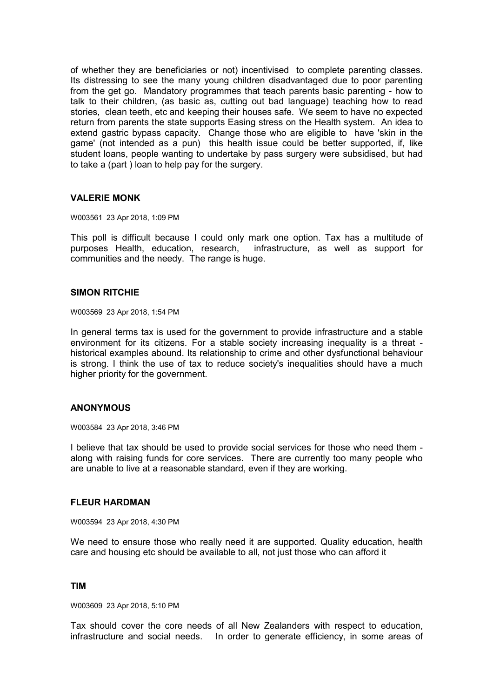of whether they are beneficiaries or not) incentivised to complete parenting classes. Its distressing to see the many young children disadvantaged due to poor parenting from the get go. Mandatory programmes that teach parents basic parenting - how to talk to their children, (as basic as, cutting out bad language) teaching how to read stories, clean teeth, etc and keeping their houses safe. We seem to have no expected return from parents the state supports Easing stress on the Health system. An idea to extend gastric bypass capacity. Change those who are eligible to have 'skin in the game' (not intended as a pun) this health issue could be better supported, if, like student loans, people wanting to undertake by pass surgery were subsidised, but had to take a (part ) loan to help pay for the surgery.

### **VALERIE MONK**

#### W003561 23 Apr 2018, 1:09 PM

This poll is difficult because I could only mark one option. Tax has a multitude of purposes Health, education, research, infrastructure, as well as support for communities and the needy. The range is huge.

### **SIMON RITCHIE**

W003569 23 Apr 2018, 1:54 PM

In general terms tax is used for the government to provide infrastructure and a stable environment for its citizens. For a stable society increasing inequality is a threat historical examples abound. Its relationship to crime and other dysfunctional behaviour is strong. I think the use of tax to reduce society's inequalities should have a much higher priority for the government.

# **ANONYMOUS**

W003584 23 Apr 2018, 3:46 PM

I believe that tax should be used to provide social services for those who need them along with raising funds for core services. There are currently too many people who are unable to live at a reasonable standard, even if they are working.

#### **FLEUR HARDMAN**

W003594 23 Apr 2018, 4:30 PM

We need to ensure those who really need it are supported. Quality education, health care and housing etc should be available to all, not just those who can afford it

# **TIM**

W003609 23 Apr 2018, 5:10 PM

Tax should cover the core needs of all New Zealanders with respect to education, infrastructure and social needs. In order to generate efficiency, in some areas of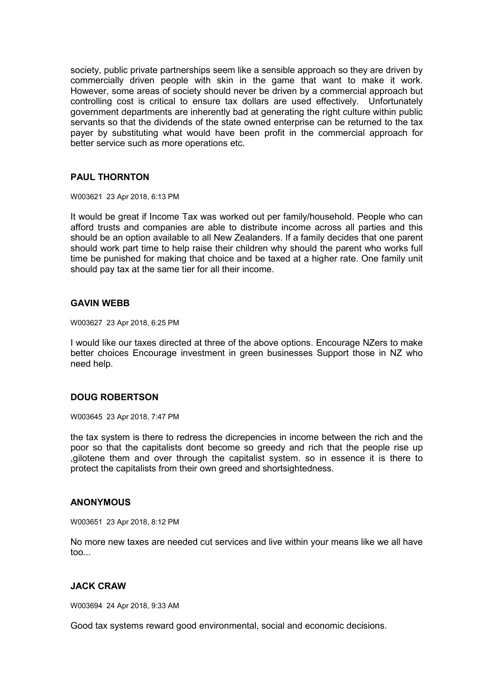society, public private partnerships seem like a sensible approach so they are driven by commercially driven people with skin in the game that want to make it work. However, some areas of society should never be driven by a commercial approach but controlling cost is critical to ensure tax dollars are used effectively. Unfortunately government departments are inherently bad at generating the right culture within public servants so that the dividends of the state owned enterprise can be returned to the tax payer by substituting what would have been profit in the commercial approach for better service such as more operations etc.

# **PAUL THORNTON**

W003621 23 Apr 2018, 6:13 PM

It would be great if Income Tax was worked out per family/household. People who can afford trusts and companies are able to distribute income across all parties and this should be an option available to all New Zealanders. If a family decides that one parent should work part time to help raise their children why should the parent who works full time be punished for making that choice and be taxed at a higher rate. One family unit should pay tax at the same tier for all their income.

### **GAVIN WEBB**

W003627 23 Apr 2018, 6:25 PM

I would like our taxes directed at three of the above options. Encourage NZers to make better choices Encourage investment in green businesses Support those in NZ who need help.

# **DOUG ROBERTSON**

W003645 23 Apr 2018, 7:47 PM

the tax system is there to redress the dicrepencies in income between the rich and the poor so that the capitalists dont become so greedy and rich that the people rise up ,gilotene them and over through the capitalist system. so in essence it is there to protect the capitalists from their own greed and shortsightedness.

#### **ANONYMOUS**

W003651 23 Apr 2018, 8:12 PM

No more new taxes are needed cut services and live within your means like we all have too...

# **JACK CRAW**

W003694 24 Apr 2018, 9:33 AM

Good tax systems reward good environmental, social and economic decisions.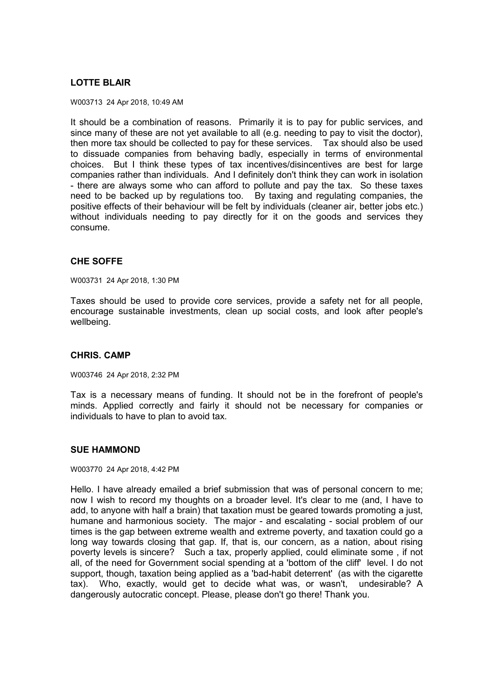# **LOTTE BLAIR**

W003713 24 Apr 2018, 10:49 AM

It should be a combination of reasons. Primarily it is to pay for public services, and since many of these are not yet available to all (e.g. needing to pay to visit the doctor), then more tax should be collected to pay for these services. Tax should also be used to dissuade companies from behaving badly, especially in terms of environmental choices. But I think these types of tax incentives/disincentives are best for large companies rather than individuals. And I definitely don't think they can work in isolation - there are always some who can afford to pollute and pay the tax. So these taxes need to be backed up by regulations too. By taxing and regulating companies, the positive effects of their behaviour will be felt by individuals (cleaner air, better jobs etc.) without individuals needing to pay directly for it on the goods and services they consume.

# **CHE SOFFE**

W003731 24 Apr 2018, 1:30 PM

Taxes should be used to provide core services, provide a safety net for all people, encourage sustainable investments, clean up social costs, and look after people's wellbeing.

# **CHRIS. CAMP**

W003746 24 Apr 2018, 2:32 PM

Tax is a necessary means of funding. It should not be in the forefront of people's minds. Applied correctly and fairly it should not be necessary for companies or individuals to have to plan to avoid tax.

# **SUE HAMMOND**

W003770 24 Apr 2018, 4:42 PM

Hello. I have already emailed a brief submission that was of personal concern to me; now I wish to record my thoughts on a broader level. It's clear to me (and, I have to add, to anyone with half a brain) that taxation must be geared towards promoting a just, humane and harmonious society. The major - and escalating - social problem of our times is the gap between extreme wealth and extreme poverty, and taxation could go a long way towards closing that gap. If, that is, our concern, as a nation, about rising poverty levels is sincere? Such a tax, properly applied, could eliminate some , if not all, of the need for Government social spending at a 'bottom of the cliff' level. I do not support, though, taxation being applied as a 'bad-habit deterrent' (as with the cigarette tax). Who, exactly, would get to decide what was, or wasn't, undesirable? A dangerously autocratic concept. Please, please don't go there! Thank you.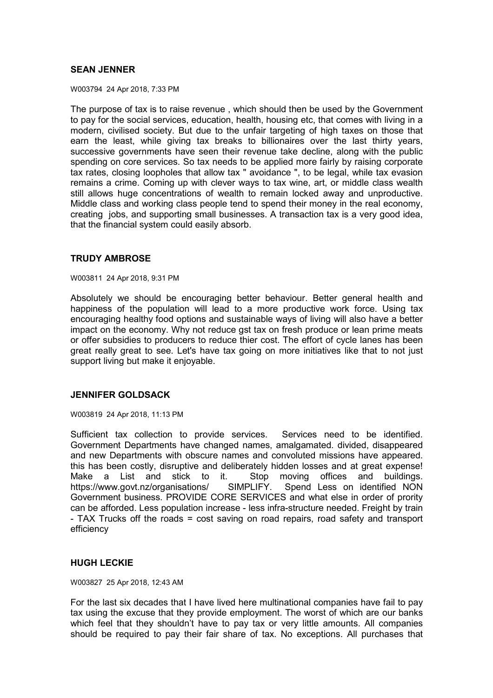# **SEAN JENNER**

W003794 24 Apr 2018, 7:33 PM

The purpose of tax is to raise revenue , which should then be used by the Government to pay for the social services, education, health, housing etc, that comes with living in a modern, civilised society. But due to the unfair targeting of high taxes on those that earn the least, while giving tax breaks to billionaires over the last thirty years, successive governments have seen their revenue take decline, along with the public spending on core services. So tax needs to be applied more fairly by raising corporate tax rates, closing loopholes that allow tax " avoidance ", to be legal, while tax evasion remains a crime. Coming up with clever ways to tax wine, art, or middle class wealth still allows huge concentrations of wealth to remain locked away and unproductive. Middle class and working class people tend to spend their money in the real economy, creating jobs, and supporting small businesses. A transaction tax is a very good idea, that the financial system could easily absorb.

# **TRUDY AMBROSE**

W003811 24 Apr 2018, 9:31 PM

Absolutely we should be encouraging better behaviour. Better general health and happiness of the population will lead to a more productive work force. Using tax encouraging healthy food options and sustainable ways of living will also have a better impact on the economy. Why not reduce gst tax on fresh produce or lean prime meats or offer subsidies to producers to reduce thier cost. The effort of cycle lanes has been great really great to see. Let's have tax going on more initiatives like that to not just support living but make it enjoyable.

# **JENNIFER GOLDSACK**

W003819 24 Apr 2018, 11:13 PM

Sufficient tax collection to provide services. Services need to be identified. Government Departments have changed names, amalgamated. divided, disappeared and new Departments with obscure names and convoluted missions have appeared. this has been costly, disruptive and deliberately hidden losses and at great expense! Make a List and stick to it. Stop moving offices and buildings. https://www.govt.nz/organisations/ SIMPLIFY. Spend Less on identified NON Government business. PROVIDE CORE SERVICES and what else in order of prority can be afforded. Less population increase - less infra-structure needed. Freight by train - TAX Trucks off the roads = cost saving on road repairs, road safety and transport efficiency

# **HUGH LECKIE**

W003827 25 Apr 2018, 12:43 AM

For the last six decades that I have lived here multinational companies have fail to pay tax using the excuse that they provide employment. The worst of which are our banks which feel that they shouldn't have to pay tax or very little amounts. All companies should be required to pay their fair share of tax. No exceptions. All purchases that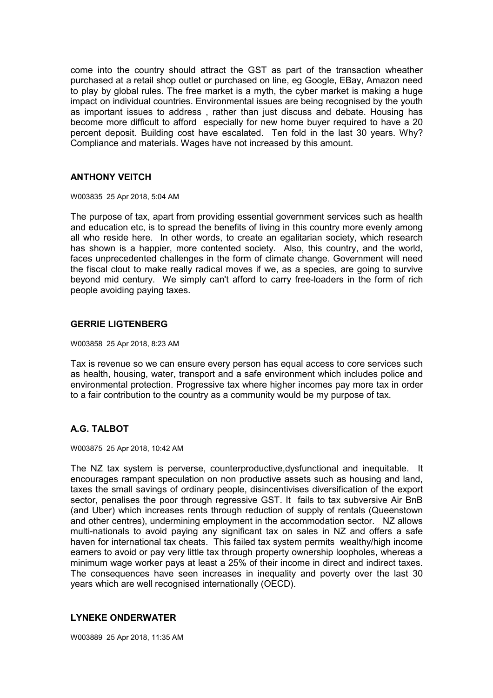come into the country should attract the GST as part of the transaction wheather purchased at a retail shop outlet or purchased on line, eg Google, EBay, Amazon need to play by global rules. The free market is a myth, the cyber market is making a huge impact on individual countries. Environmental issues are being recognised by the youth as important issues to address , rather than just discuss and debate. Housing has become more difficult to afford especially for new home buyer required to have a 20 percent deposit. Building cost have escalated. Ten fold in the last 30 years. Why? Compliance and materials. Wages have not increased by this amount.

# **ANTHONY VEITCH**

W003835 25 Apr 2018, 5:04 AM

The purpose of tax, apart from providing essential government services such as health and education etc, is to spread the benefits of living in this country more evenly among all who reside here. In other words, to create an egalitarian society, which research has shown is a happier, more contented society. Also, this country, and the world, faces unprecedented challenges in the form of climate change. Government will need the fiscal clout to make really radical moves if we, as a species, are going to survive beyond mid century. We simply can't afford to carry free-loaders in the form of rich people avoiding paying taxes.

# **GERRIE LIGTENBERG**

W003858 25 Apr 2018, 8:23 AM

Tax is revenue so we can ensure every person has equal access to core services such as health, housing, water, transport and a safe environment which includes police and environmental protection. Progressive tax where higher incomes pay more tax in order to a fair contribution to the country as a community would be my purpose of tax.

# **A.G. TALBOT**

W003875 25 Apr 2018, 10:42 AM

The NZ tax system is perverse, counterproductive,dysfunctional and inequitable. It encourages rampant speculation on non productive assets such as housing and land, taxes the small savings of ordinary people, disincentivises diversification of the export sector, penalises the poor through regressive GST. It fails to tax subversive Air BnB (and Uber) which increases rents through reduction of supply of rentals (Queenstown and other centres), undermining employment in the accommodation sector. NZ allows multi-nationals to avoid paying any significant tax on sales in NZ and offers a safe haven for international tax cheats. This failed tax system permits wealthy/high income earners to avoid or pay very little tax through property ownership loopholes, whereas a minimum wage worker pays at least a 25% of their income in direct and indirect taxes. The consequences have seen increases in inequality and poverty over the last 30 years which are well recognised internationally (OECD).

# **LYNEKE ONDERWATER**

W003889 25 Apr 2018, 11:35 AM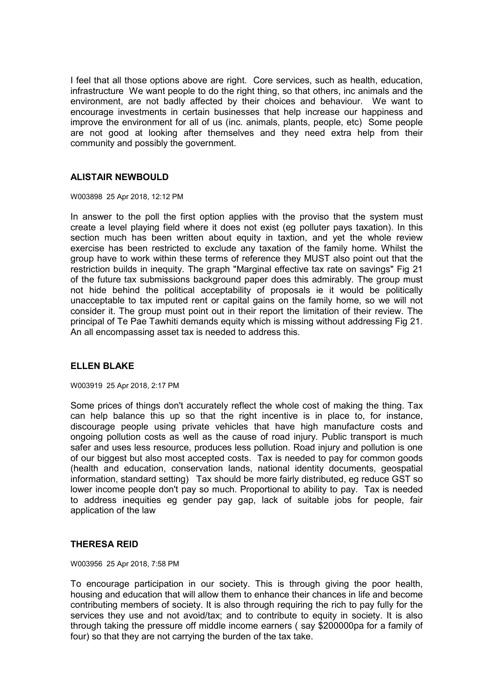I feel that all those options above are right. Core services, such as health, education, infrastructure We want people to do the right thing, so that others, inc animals and the environment, are not badly affected by their choices and behaviour. We want to encourage investments in certain businesses that help increase our happiness and improve the environment for all of us (inc. animals, plants, people, etc) Some people are not good at looking after themselves and they need extra help from their community and possibly the government.

# **ALISTAIR NEWBOULD**

W003898 25 Apr 2018, 12:12 PM

In answer to the poll the first option applies with the proviso that the system must create a level playing field where it does not exist (eg polluter pays taxation). In this section much has been written about equity in taxtion, and yet the whole review exercise has been restricted to exclude any taxation of the family home. Whilst the group have to work within these terms of reference they MUST also point out that the restriction builds in inequity. The graph "Marginal effective tax rate on savings" Fig 21 of the future tax submissions background paper does this admirably. The group must not hide behind the political acceptability of proposals ie it would be politically unacceptable to tax imputed rent or capital gains on the family home, so we will not consider it. The group must point out in their report the limitation of their review. The principal of Te Pae Tawhiti demands equity which is missing without addressing Fig 21. An all encompassing asset tax is needed to address this.

# **ELLEN BLAKE**

W003919 25 Apr 2018, 2:17 PM

Some prices of things don't accurately reflect the whole cost of making the thing. Tax can help balance this up so that the right incentive is in place to, for instance, discourage people using private vehicles that have high manufacture costs and ongoing pollution costs as well as the cause of road injury. Public transport is much safer and uses less resource, produces less pollution. Road injury and pollution is one of our biggest but also most accepted costs. Tax is needed to pay for common goods (health and education, conservation lands, national identity documents, geospatial information, standard setting) Tax should be more fairly distributed, eg reduce GST so lower income people don't pay so much. Proportional to ability to pay. Tax is needed to address inequities eg gender pay gap, lack of suitable jobs for people, fair application of the law

# **THERESA REID**

W003956 25 Apr 2018, 7:58 PM

To encourage participation in our society. This is through giving the poor health, housing and education that will allow them to enhance their chances in life and become contributing members of society. It is also through requiring the rich to pay fully for the services they use and not avoid/tax; and to contribute to equity in society. It is also through taking the pressure off middle income earners ( say \$200000pa for a family of four) so that they are not carrying the burden of the tax take.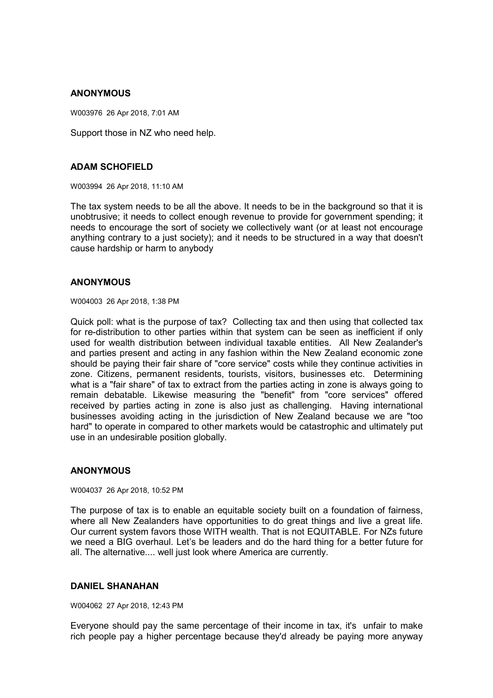# **ANONYMOUS**

W003976 26 Apr 2018, 7:01 AM

Support those in NZ who need help.

# **ADAM SCHOFIELD**

W003994 26 Apr 2018, 11:10 AM

The tax system needs to be all the above. It needs to be in the background so that it is unobtrusive; it needs to collect enough revenue to provide for government spending; it needs to encourage the sort of society we collectively want (or at least not encourage anything contrary to a just society); and it needs to be structured in a way that doesn't cause hardship or harm to anybody

# **ANONYMOUS**

W004003 26 Apr 2018, 1:38 PM

Quick poll: what is the purpose of tax? Collecting tax and then using that collected tax for re-distribution to other parties within that system can be seen as inefficient if only used for wealth distribution between individual taxable entities. All New Zealander's and parties present and acting in any fashion within the New Zealand economic zone should be paying their fair share of "core service" costs while they continue activities in zone. Citizens, permanent residents, tourists, visitors, businesses etc. Determining what is a "fair share" of tax to extract from the parties acting in zone is always going to remain debatable. Likewise measuring the "benefit" from "core services" offered received by parties acting in zone is also just as challenging. Having international businesses avoiding acting in the jurisdiction of New Zealand because we are "too hard" to operate in compared to other markets would be catastrophic and ultimately put use in an undesirable position globally.

# **ANONYMOUS**

W004037 26 Apr 2018, 10:52 PM

The purpose of tax is to enable an equitable society built on a foundation of fairness, where all New Zealanders have opportunities to do great things and live a great life. Our current system favors those WITH wealth. That is not EQUITABLE. For NZs future we need a BIG overhaul. Let's be leaders and do the hard thing for a better future for all. The alternative.... well just look where America are currently.

# **DANIEL SHANAHAN**

W004062 27 Apr 2018, 12:43 PM

Everyone should pay the same percentage of their income in tax, it's unfair to make rich people pay a higher percentage because they'd already be paying more anyway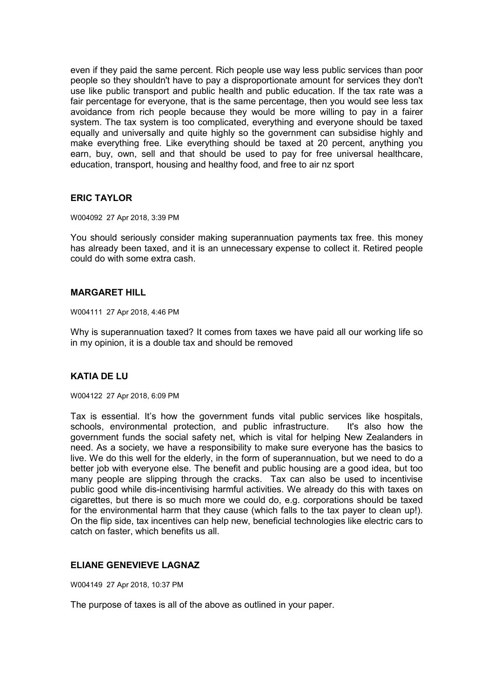even if they paid the same percent. Rich people use way less public services than poor people so they shouldn't have to pay a disproportionate amount for services they don't use like public transport and public health and public education. If the tax rate was a fair percentage for everyone, that is the same percentage, then you would see less tax avoidance from rich people because they would be more willing to pay in a fairer system. The tax system is too complicated, everything and everyone should be taxed equally and universally and quite highly so the government can subsidise highly and make everything free. Like everything should be taxed at 20 percent, anything you earn, buy, own, sell and that should be used to pay for free universal healthcare, education, transport, housing and healthy food, and free to air nz sport

# **ERIC TAYLOR**

W004092 27 Apr 2018, 3:39 PM

You should seriously consider making superannuation payments tax free. this money has already been taxed, and it is an unnecessary expense to collect it. Retired people could do with some extra cash.

# **MARGARET HILL**

W004111 27 Apr 2018, 4:46 PM

Why is superannuation taxed? It comes from taxes we have paid all our working life so in my opinion, it is a double tax and should be removed

# **KATIA DE LU**

W004122 27 Apr 2018, 6:09 PM

Tax is essential. It's how the government funds vital public services like hospitals, schools, environmental protection, and public infrastructure. It's also how the government funds the social safety net, which is vital for helping New Zealanders in need. As a society, we have a responsibility to make sure everyone has the basics to live. We do this well for the elderly, in the form of superannuation, but we need to do a better job with everyone else. The benefit and public housing are a good idea, but too many people are slipping through the cracks. Tax can also be used to incentivise public good while dis-incentivising harmful activities. We already do this with taxes on cigarettes, but there is so much more we could do, e.g. corporations should be taxed for the environmental harm that they cause (which falls to the tax payer to clean up!). On the flip side, tax incentives can help new, beneficial technologies like electric cars to catch on faster, which benefits us all.

# **ELIANE GENEVIEVE LAGNAZ**

W004149 27 Apr 2018, 10:37 PM

The purpose of taxes is all of the above as outlined in your paper.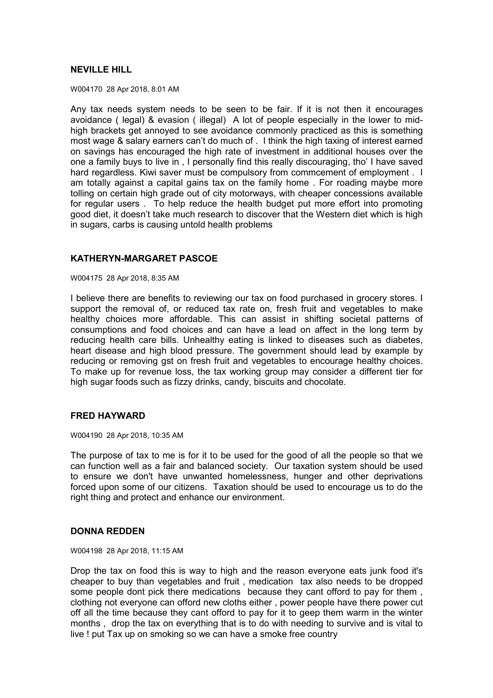# **NEVILLE HILL**

W004170 28 Apr 2018, 8:01 AM

Any tax needs system needs to be seen to be fair. If it is not then it encourages avoidance ( legal) & evasion ( illegal) A lot of people especially in the lower to midhigh brackets get annoyed to see avoidance commonly practiced as this is something most wage & salary earners can't do much of . I think the high taxing of interest earned on savings has encouraged the high rate of investment in additional houses over the one a family buys to live in , I personally find this really discouraging, tho' I have saved hard regardless. Kiwi saver must be compulsory from commcement of employment . I am totally against a capital gains tax on the family home . For roading maybe more tolling on certain high grade out of city motorways, with cheaper concessions available for regular users . To help reduce the health budget put more effort into promoting good diet, it doesn't take much research to discover that the Western diet which is high in sugars, carbs is causing untold health problems

# **KATHERYN-MARGARET PASCOE**

W004175 28 Apr 2018, 8:35 AM

I believe there are benefits to reviewing our tax on food purchased in grocery stores. I support the removal of, or reduced tax rate on, fresh fruit and vegetables to make healthy choices more affordable. This can assist in shifting societal patterns of consumptions and food choices and can have a lead on affect in the long term by reducing health care bills. Unhealthy eating is linked to diseases such as diabetes, heart disease and high blood pressure. The government should lead by example by reducing or removing gst on fresh fruit and vegetables to encourage healthy choices. To make up for revenue loss, the tax working group may consider a different tier for high sugar foods such as fizzy drinks, candy, biscuits and chocolate.

# **FRED HAYWARD**

W004190 28 Apr 2018, 10:35 AM

The purpose of tax to me is for it to be used for the good of all the people so that we can function well as a fair and balanced society. Our taxation system should be used to ensure we don't have unwanted homelessness, hunger and other deprivations forced upon some of our citizens. Taxation should be used to encourage us to do the right thing and protect and enhance our environment.

#### **DONNA REDDEN**

W004198 28 Apr 2018, 11:15 AM

Drop the tax on food this is way to high and the reason everyone eats junk food it's cheaper to buy than vegetables and fruit , medication tax also needs to be dropped some people dont pick there medications because they cant offord to pay for them , clothing not everyone can offord new cloths either , power people have there power cut off all the time because they cant offord to pay for it to geep them warm in the winter months , drop the tax on everything that is to do with needing to survive and is vital to live ! put Tax up on smoking so we can have a smoke free country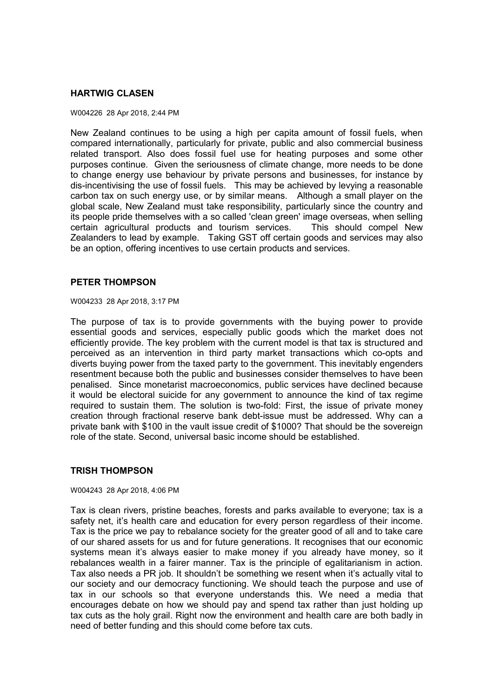# **HARTWIG CLASEN**

#### W004226 28 Apr 2018, 2:44 PM

New Zealand continues to be using a high per capita amount of fossil fuels, when compared internationally, particularly for private, public and also commercial business related transport. Also does fossil fuel use for heating purposes and some other purposes continue. Given the seriousness of climate change, more needs to be done to change energy use behaviour by private persons and businesses, for instance by dis-incentivising the use of fossil fuels. This may be achieved by levying a reasonable carbon tax on such energy use, or by similar means. Although a small player on the global scale, New Zealand must take responsibility, particularly since the country and its people pride themselves with a so called 'clean green' image overseas, when selling certain agricultural products and tourism services. This should compel New Zealanders to lead by example. Taking GST off certain goods and services may also be an option, offering incentives to use certain products and services.

### **PETER THOMPSON**

W004233 28 Apr 2018, 3:17 PM

The purpose of tax is to provide governments with the buying power to provide essential goods and services, especially public goods which the market does not efficiently provide. The key problem with the current model is that tax is structured and perceived as an intervention in third party market transactions which co-opts and diverts buying power from the taxed party to the government. This inevitably engenders resentment because both the public and businesses consider themselves to have been penalised. Since monetarist macroeconomics, public services have declined because it would be electoral suicide for any government to announce the kind of tax regime required to sustain them. The solution is two-fold: First, the issue of private money creation through fractional reserve bank debt-issue must be addressed. Why can a private bank with \$100 in the vault issue credit of \$1000? That should be the sovereign role of the state. Second, universal basic income should be established.

# **TRISH THOMPSON**

W004243 28 Apr 2018, 4:06 PM

Tax is clean rivers, pristine beaches, forests and parks available to everyone; tax is a safety net, it's health care and education for every person regardless of their income. Tax is the price we pay to rebalance society for the greater good of all and to take care of our shared assets for us and for future generations. It recognises that our economic systems mean it's always easier to make money if you already have money, so it rebalances wealth in a fairer manner. Tax is the principle of egalitarianism in action. Tax also needs a PR job. It shouldn't be something we resent when it's actually vital to our society and our democracy functioning. We should teach the purpose and use of tax in our schools so that everyone understands this. We need a media that encourages debate on how we should pay and spend tax rather than just holding up tax cuts as the holy grail. Right now the environment and health care are both badly in need of better funding and this should come before tax cuts.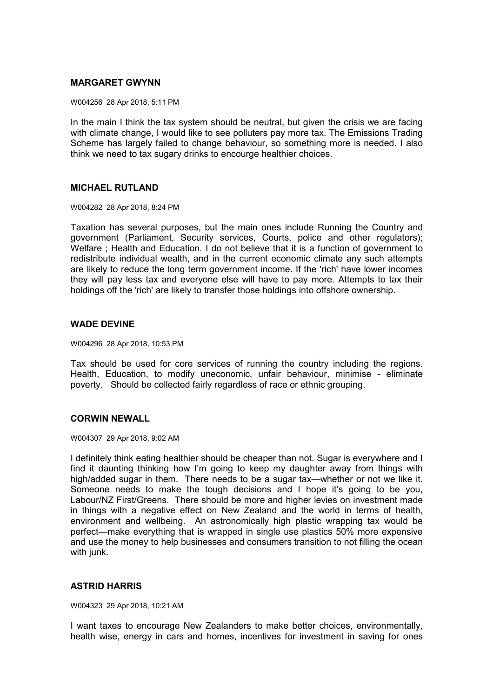# **MARGARET GWYNN**

W004256 28 Apr 2018, 5:11 PM

In the main I think the tax system should be neutral, but given the crisis we are facing with climate change, I would like to see polluters pay more tax. The Emissions Trading Scheme has largely failed to change behaviour, so something more is needed. I also think we need to tax sugary drinks to encourge healthier choices.

# **MICHAEL RUTLAND**

W004282 28 Apr 2018, 8:24 PM

Taxation has several purposes, but the main ones include Running the Country and government (Parliament, Security services, Courts, police and other regulators); Welfare; Health and Education. I do not believe that it is a function of government to redistribute individual wealth, and in the current economic climate any such attempts are likely to reduce the long term government income. If the 'rich' have lower incomes they will pay less tax and everyone else will have to pay more. Attempts to tax their holdings off the 'rich' are likely to transfer those holdings into offshore ownership.

# **WADE DEVINE**

W004296 28 Apr 2018, 10:53 PM

Tax should be used for core services of running the country including the regions. Health, Education, to modify uneconomic, unfair behaviour, minimise - eliminate poverty. Should be collected fairly regardless of race or ethnic grouping.

# **CORWIN NEWALL**

#### W004307 29 Apr 2018, 9:02 AM

I definitely think eating healthier should be cheaper than not. Sugar is everywhere and I find it daunting thinking how I'm going to keep my daughter away from things with high/added sugar in them. There needs to be a sugar tax—whether or not we like it. Someone needs to make the tough decisions and I hope it's going to be you, Labour/NZ First/Greens. There should be more and higher levies on investment made in things with a negative effect on New Zealand and the world in terms of health, environment and wellbeing. An astronomically high plastic wrapping tax would be perfect—make everything that is wrapped in single use plastics 50% more expensive and use the money to help businesses and consumers transition to not filling the ocean with junk.

# **ASTRID HARRIS**

W004323 29 Apr 2018, 10:21 AM

I want taxes to encourage New Zealanders to make better choices, environmentally, health wise, energy in cars and homes, incentives for investment in saving for ones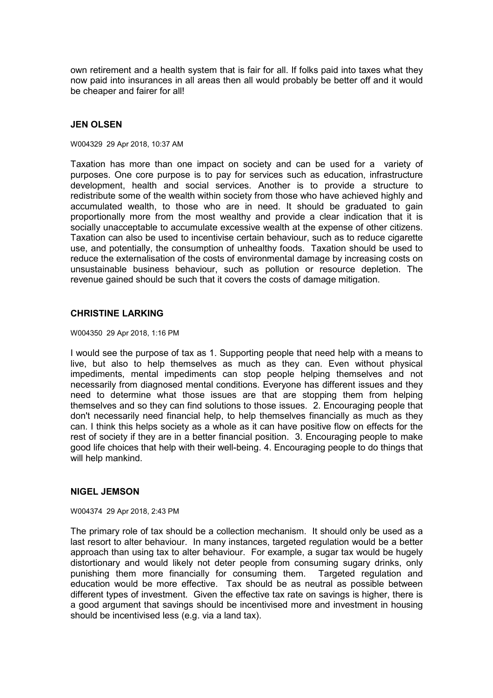own retirement and a health system that is fair for all. If folks paid into taxes what they now paid into insurances in all areas then all would probably be better off and it would be cheaper and fairer for all!

# **JEN OLSEN**

#### W004329 29 Apr 2018, 10:37 AM

Taxation has more than one impact on society and can be used for a variety of purposes. One core purpose is to pay for services such as education, infrastructure development, health and social services. Another is to provide a structure to redistribute some of the wealth within society from those who have achieved highly and accumulated wealth, to those who are in need. It should be graduated to gain proportionally more from the most wealthy and provide a clear indication that it is socially unacceptable to accumulate excessive wealth at the expense of other citizens. Taxation can also be used to incentivise certain behaviour, such as to reduce cigarette use, and potentially, the consumption of unhealthy foods. Taxation should be used to reduce the externalisation of the costs of environmental damage by increasing costs on unsustainable business behaviour, such as pollution or resource depletion. The revenue gained should be such that it covers the costs of damage mitigation.

# **CHRISTINE LARKING**

W004350 29 Apr 2018, 1:16 PM

I would see the purpose of tax as 1. Supporting people that need help with a means to live, but also to help themselves as much as they can. Even without physical impediments, mental impediments can stop people helping themselves and not necessarily from diagnosed mental conditions. Everyone has different issues and they need to determine what those issues are that are stopping them from helping themselves and so they can find solutions to those issues. 2. Encouraging people that don't necessarily need financial help, to help themselves financially as much as they can. I think this helps society as a whole as it can have positive flow on effects for the rest of society if they are in a better financial position. 3. Encouraging people to make good life choices that help with their well-being. 4. Encouraging people to do things that will help mankind.

# **NIGEL JEMSON**

#### W004374 29 Apr 2018, 2:43 PM

The primary role of tax should be a collection mechanism. It should only be used as a last resort to alter behaviour. In many instances, targeted regulation would be a better approach than using tax to alter behaviour. For example, a sugar tax would be hugely distortionary and would likely not deter people from consuming sugary drinks, only punishing them more financially for consuming them. Targeted regulation and education would be more effective. Tax should be as neutral as possible between different types of investment. Given the effective tax rate on savings is higher, there is a good argument that savings should be incentivised more and investment in housing should be incentivised less (e.g. via a land tax).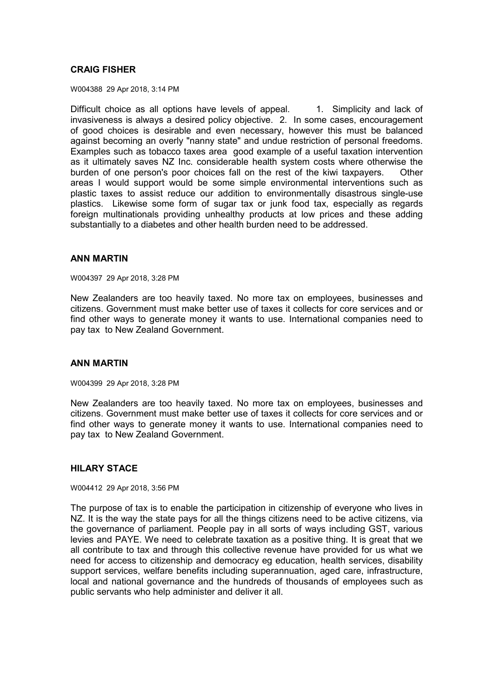# **CRAIG FISHER**

W004388 29 Apr 2018, 3:14 PM

Difficult choice as all options have levels of appeal. 1. Simplicity and lack of invasiveness is always a desired policy objective. 2. In some cases, encouragement of good choices is desirable and even necessary, however this must be balanced against becoming an overly "nanny state" and undue restriction of personal freedoms. Examples such as tobacco taxes area good example of a useful taxation intervention as it ultimately saves NZ Inc. considerable health system costs where otherwise the burden of one person's poor choices fall on the rest of the kiwi taxpayers. Other areas I would support would be some simple environmental interventions such as plastic taxes to assist reduce our addition to environmentally disastrous single-use plastics. Likewise some form of sugar tax or junk food tax, especially as regards foreign multinationals providing unhealthy products at low prices and these adding substantially to a diabetes and other health burden need to be addressed.

# **ANN MARTIN**

W004397 29 Apr 2018, 3:28 PM

New Zealanders are too heavily taxed. No more tax on employees, businesses and citizens. Government must make better use of taxes it collects for core services and or find other ways to generate money it wants to use. International companies need to pay tax to New Zealand Government.

# **ANN MARTIN**

W004399 29 Apr 2018, 3:28 PM

New Zealanders are too heavily taxed. No more tax on employees, businesses and citizens. Government must make better use of taxes it collects for core services and or find other ways to generate money it wants to use. International companies need to pay tax to New Zealand Government.

# **HILARY STACE**

W004412 29 Apr 2018, 3:56 PM

The purpose of tax is to enable the participation in citizenship of everyone who lives in NZ. It is the way the state pays for all the things citizens need to be active citizens, via the governance of parliament. People pay in all sorts of ways including GST, various levies and PAYE. We need to celebrate taxation as a positive thing. It is great that we all contribute to tax and through this collective revenue have provided for us what we need for access to citizenship and democracy eg education, health services, disability support services, welfare benefits including superannuation, aged care, infrastructure, local and national governance and the hundreds of thousands of employees such as public servants who help administer and deliver it all.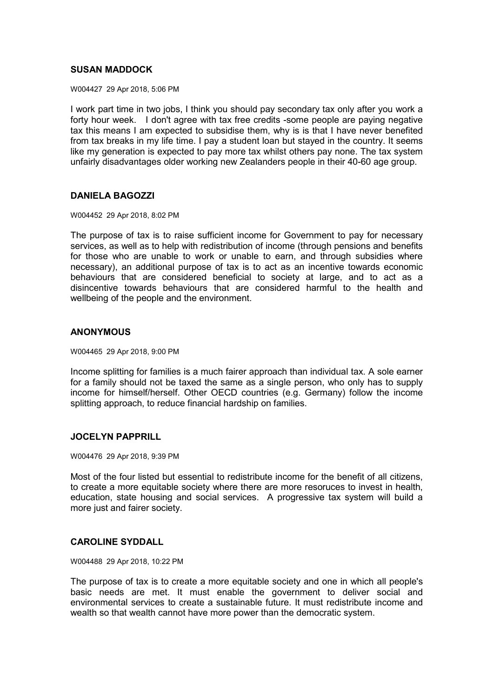# **SUSAN MADDOCK**

W004427 29 Apr 2018, 5:06 PM

I work part time in two jobs, I think you should pay secondary tax only after you work a forty hour week. I don't agree with tax free credits -some people are paying negative tax this means I am expected to subsidise them, why is is that I have never benefited from tax breaks in my life time. I pay a student loan but stayed in the country. It seems like my generation is expected to pay more tax whilst others pay none. The tax system unfairly disadvantages older working new Zealanders people in their 40-60 age group.

# **DANIELA BAGOZZI**

W004452 29 Apr 2018, 8:02 PM

The purpose of tax is to raise sufficient income for Government to pay for necessary services, as well as to help with redistribution of income (through pensions and benefits for those who are unable to work or unable to earn, and through subsidies where necessary), an additional purpose of tax is to act as an incentive towards economic behaviours that are considered beneficial to society at large, and to act as a disincentive towards behaviours that are considered harmful to the health and wellbeing of the people and the environment.

# **ANONYMOUS**

W004465 29 Apr 2018, 9:00 PM

Income splitting for families is a much fairer approach than individual tax. A sole earner for a family should not be taxed the same as a single person, who only has to supply income for himself/herself. Other OECD countries (e.g. Germany) follow the income splitting approach, to reduce financial hardship on families.

# **JOCELYN PAPPRILL**

W004476 29 Apr 2018, 9:39 PM

Most of the four listed but essential to redistribute income for the benefit of all citizens, to create a more equitable society where there are more resoruces to invest in health, education, state housing and social services. A progressive tax system will build a more just and fairer society.

# **CAROLINE SYDDALL**

W004488 29 Apr 2018, 10:22 PM

The purpose of tax is to create a more equitable society and one in which all people's basic needs are met. It must enable the government to deliver social and environmental services to create a sustainable future. It must redistribute income and wealth so that wealth cannot have more power than the democratic system.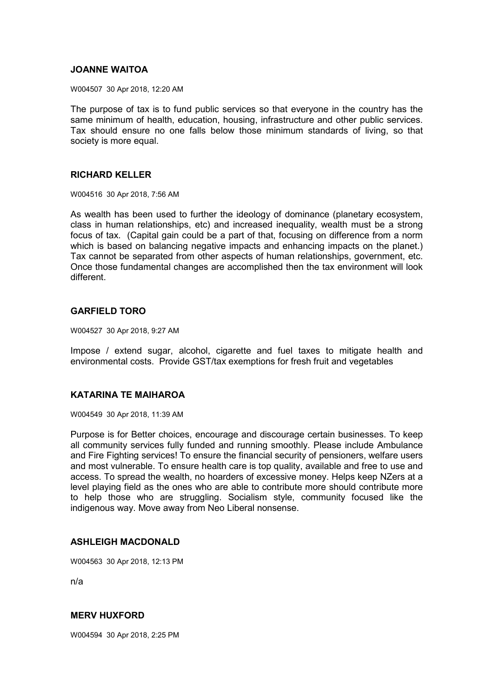# **JOANNE WAITOA**

W004507 30 Apr 2018, 12:20 AM

The purpose of tax is to fund public services so that everyone in the country has the same minimum of health, education, housing, infrastructure and other public services. Tax should ensure no one falls below those minimum standards of living, so that society is more equal.

### **RICHARD KELLER**

W004516 30 Apr 2018, 7:56 AM

As wealth has been used to further the ideology of dominance (planetary ecosystem, class in human relationships, etc) and increased inequality, wealth must be a strong focus of tax. (Capital gain could be a part of that, focusing on difference from a norm which is based on balancing negative impacts and enhancing impacts on the planet.) Tax cannot be separated from other aspects of human relationships, government, etc. Once those fundamental changes are accomplished then the tax environment will look different.

# **GARFIELD TORO**

W004527 30 Apr 2018, 9:27 AM

Impose / extend sugar, alcohol, cigarette and fuel taxes to mitigate health and environmental costs. Provide GST/tax exemptions for fresh fruit and vegetables

# **KATARINA TE MAIHAROA**

W004549 30 Apr 2018, 11:39 AM

Purpose is for Better choices, encourage and discourage certain businesses. To keep all community services fully funded and running smoothly. Please include Ambulance and Fire Fighting services! To ensure the financial security of pensioners, welfare users and most vulnerable. To ensure health care is top quality, available and free to use and access. To spread the wealth, no hoarders of excessive money. Helps keep NZers at a level playing field as the ones who are able to contribute more should contribute more to help those who are struggling. Socialism style, community focused like the indigenous way. Move away from Neo Liberal nonsense.

# **ASHLEIGH MACDONALD**

W004563 30 Apr 2018, 12:13 PM

n/a

# **MERV HUXFORD**

W004594 30 Apr 2018, 2:25 PM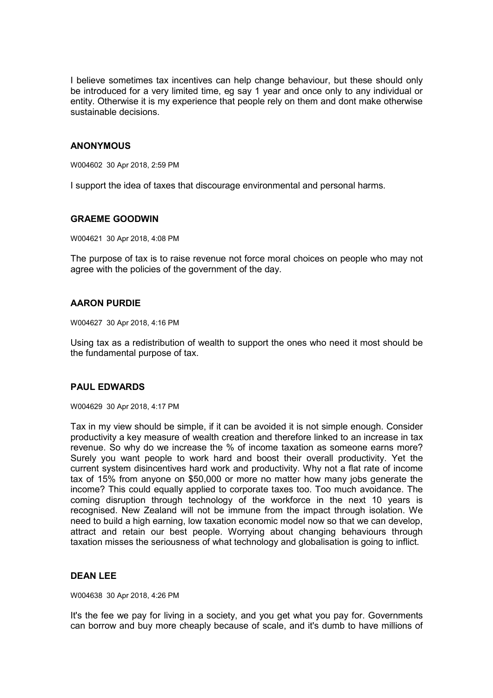I believe sometimes tax incentives can help change behaviour, but these should only be introduced for a very limited time, eg say 1 year and once only to any individual or entity. Otherwise it is my experience that people rely on them and dont make otherwise sustainable decisions.

# **ANONYMOUS**

W004602 30 Apr 2018, 2:59 PM

I support the idea of taxes that discourage environmental and personal harms.

### **GRAEME GOODWIN**

W004621 30 Apr 2018, 4:08 PM

The purpose of tax is to raise revenue not force moral choices on people who may not agree with the policies of the government of the day.

### **AARON PURDIE**

W004627 30 Apr 2018, 4:16 PM

Using tax as a redistribution of wealth to support the ones who need it most should be the fundamental purpose of tax.

# **PAUL EDWARDS**

W004629 30 Apr 2018, 4:17 PM

Tax in my view should be simple, if it can be avoided it is not simple enough. Consider productivity a key measure of wealth creation and therefore linked to an increase in tax revenue. So why do we increase the % of income taxation as someone earns more? Surely you want people to work hard and boost their overall productivity. Yet the current system disincentives hard work and productivity. Why not a flat rate of income tax of 15% from anyone on \$50,000 or more no matter how many jobs generate the income? This could equally applied to corporate taxes too. Too much avoidance. The coming disruption through technology of the workforce in the next 10 years is recognised. New Zealand will not be immune from the impact through isolation. We need to build a high earning, low taxation economic model now so that we can develop, attract and retain our best people. Worrying about changing behaviours through taxation misses the seriousness of what technology and globalisation is going to inflict.

# **DEAN LEE**

W004638 30 Apr 2018, 4:26 PM

It's the fee we pay for living in a society, and you get what you pay for. Governments can borrow and buy more cheaply because of scale, and it's dumb to have millions of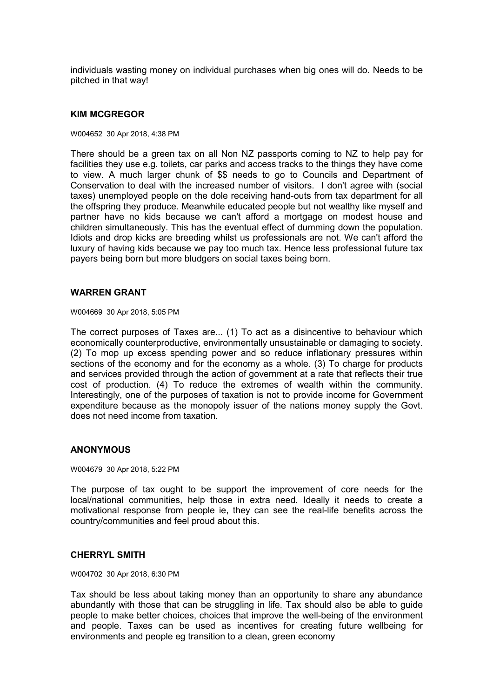individuals wasting money on individual purchases when big ones will do. Needs to be pitched in that way!

#### **KIM MCGREGOR**

#### W004652 30 Apr 2018, 4:38 PM

There should be a green tax on all Non NZ passports coming to NZ to help pay for facilities they use e.g. toilets, car parks and access tracks to the things they have come to view. A much larger chunk of \$\$ needs to go to Councils and Department of Conservation to deal with the increased number of visitors. I don't agree with (social taxes) unemployed people on the dole receiving hand-outs from tax department for all the offspring they produce. Meanwhile educated people but not wealthy like myself and partner have no kids because we can't afford a mortgage on modest house and children simultaneously. This has the eventual effect of dumming down the population. Idiots and drop kicks are breeding whilst us professionals are not. We can't afford the luxury of having kids because we pay too much tax. Hence less professional future tax payers being born but more bludgers on social taxes being born.

### **WARREN GRANT**

W004669 30 Apr 2018, 5:05 PM

The correct purposes of Taxes are... (1) To act as a disincentive to behaviour which economically counterproductive, environmentally unsustainable or damaging to society. (2) To mop up excess spending power and so reduce inflationary pressures within sections of the economy and for the economy as a whole. (3) To charge for products and services provided through the action of government at a rate that reflects their true cost of production. (4) To reduce the extremes of wealth within the community. Interestingly, one of the purposes of taxation is not to provide income for Government expenditure because as the monopoly issuer of the nations money supply the Govt. does not need income from taxation.

# **ANONYMOUS**

W004679 30 Apr 2018, 5:22 PM

The purpose of tax ought to be support the improvement of core needs for the local/national communities, help those in extra need. Ideally it needs to create a motivational response from people ie, they can see the real-life benefits across the country/communities and feel proud about this.

### **CHERRYL SMITH**

W004702 30 Apr 2018, 6:30 PM

Tax should be less about taking money than an opportunity to share any abundance abundantly with those that can be struggling in life. Tax should also be able to guide people to make better choices, choices that improve the well-being of the environment and people. Taxes can be used as incentives for creating future wellbeing for environments and people eg transition to a clean, green economy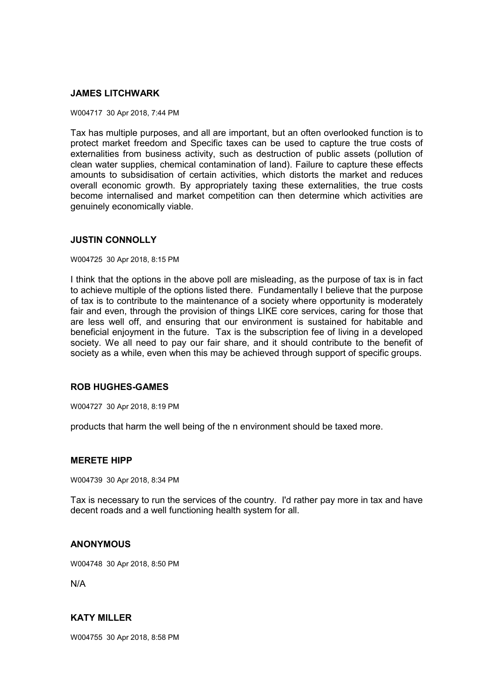# **JAMES LITCHWARK**

#### W004717 30 Apr 2018, 7:44 PM

Tax has multiple purposes, and all are important, but an often overlooked function is to protect market freedom and Specific taxes can be used to capture the true costs of externalities from business activity, such as destruction of public assets (pollution of clean water supplies, chemical contamination of land). Failure to capture these effects amounts to subsidisation of certain activities, which distorts the market and reduces overall economic growth. By appropriately taxing these externalities, the true costs become internalised and market competition can then determine which activities are genuinely economically viable.

### **JUSTIN CONNOLLY**

#### W004725 30 Apr 2018, 8:15 PM

I think that the options in the above poll are misleading, as the purpose of tax is in fact to achieve multiple of the options listed there. Fundamentally I believe that the purpose of tax is to contribute to the maintenance of a society where opportunity is moderately fair and even, through the provision of things LIKE core services, caring for those that are less well off, and ensuring that our environment is sustained for habitable and beneficial enjoyment in the future. Tax is the subscription fee of living in a developed society. We all need to pay our fair share, and it should contribute to the benefit of society as a while, even when this may be achieved through support of specific groups.

# **ROB HUGHES-GAMES**

W004727 30 Apr 2018, 8:19 PM

products that harm the well being of the n environment should be taxed more.

### **MERETE HIPP**

W004739 30 Apr 2018, 8:34 PM

Tax is necessary to run the services of the country. I'd rather pay more in tax and have decent roads and a well functioning health system for all.

# **ANONYMOUS**

W004748 30 Apr 2018, 8:50 PM

N/A

# **KATY MILLER**

W004755 30 Apr 2018, 8:58 PM